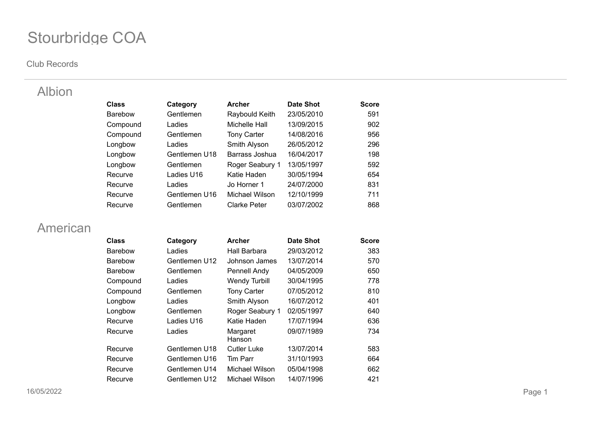#### **Club Records**

### Albion

| <b>Class</b>   | Category      | <b>Archer</b>       | <b>Date Shot</b> | <b>Score</b> |
|----------------|---------------|---------------------|------------------|--------------|
| <b>Barebow</b> | Gentlemen     | Raybould Keith      | 23/05/2010       | 591          |
| Compound       | Ladies        | Michelle Hall       | 13/09/2015       | 902          |
| Compound       | Gentlemen     | <b>Tony Carter</b>  | 14/08/2016       | 956          |
| Longbow        | Ladies        | Smith Alyson        | 26/05/2012       | 296          |
| Longbow        | Gentlemen U18 | Barrass Joshua      | 16/04/2017       | 198          |
| Longbow        | Gentlemen     | Roger Seabury 1     | 13/05/1997       | 592          |
| Recurve        | Ladies U16    | Katie Haden         | 30/05/1994       | 654          |
| Recurve        | Ladies        | Jo Horner 1         | 24/07/2000       | 831          |
| Recurve        | Gentlemen U16 | Michael Wilson      | 12/10/1999       | 711          |
| Recurve        | Gentlemen     | <b>Clarke Peter</b> | 03/07/2002       | 868          |

### American

| <b>Class</b>   | Category      | <b>Archer</b>        | Date Shot  | <b>Score</b> |
|----------------|---------------|----------------------|------------|--------------|
| <b>Barebow</b> | Ladies        | Hall Barbara         | 29/03/2012 | 383          |
| <b>Barebow</b> | Gentlemen U12 | Johnson James        | 13/07/2014 | 570          |
| Barebow        | Gentlemen     | Pennell Andy         | 04/05/2009 | 650          |
| Compound       | Ladies        | <b>Wendy Turbill</b> | 30/04/1995 | 778          |
| Compound       | Gentlemen     | <b>Tony Carter</b>   | 07/05/2012 | 810          |
| Longbow        | Ladies        | Smith Alyson         | 16/07/2012 | 401          |
| Longbow        | Gentlemen     | Roger Seabury 1      | 02/05/1997 | 640          |
| Recurve        | Ladies U16    | Katie Haden          | 17/07/1994 | 636          |
| Recurve        | Ladies        | Margaret<br>Hanson   | 09/07/1989 | 734          |
| Recurve        | Gentlemen U18 | <b>Cutler Luke</b>   | 13/07/2014 | 583          |
| Recurve        | Gentlemen U16 | Tim Parr             | 31/10/1993 | 664          |
| Recurve        | Gentlemen U14 | Michael Wilson       | 05/04/1998 | 662          |
| Recurve        | Gentlemen U12 | Michael Wilson       | 14/07/1996 | 421          |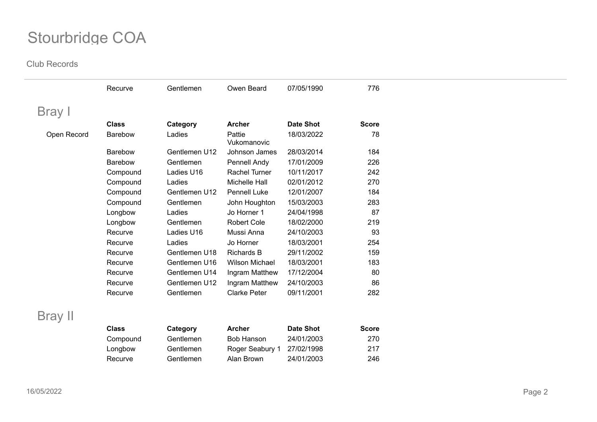|             | Recurve        | Gentlemen     | Owen Beard            | 07/05/1990       | 776          |  |
|-------------|----------------|---------------|-----------------------|------------------|--------------|--|
| Bray I      |                |               |                       |                  |              |  |
|             | <b>Class</b>   | Category      | <b>Archer</b>         | <b>Date Shot</b> | <b>Score</b> |  |
| Open Record | Barebow        | Ladies        | Pattie<br>Vukomanovic | 18/03/2022       | 78           |  |
|             | <b>Barebow</b> | Gentlemen U12 | Johnson James         | 28/03/2014       | 184          |  |
|             | Barebow        | Gentlemen     | Pennell Andy          | 17/01/2009       | 226          |  |
|             | Compound       | Ladies U16    | Rachel Turner         | 10/11/2017       | 242          |  |
|             | Compound       | Ladies        | Michelle Hall         | 02/01/2012       | 270          |  |
|             | Compound       | Gentlemen U12 | <b>Pennell Luke</b>   | 12/01/2007       | 184          |  |
|             | Compound       | Gentlemen     | John Houghton         | 15/03/2003       | 283          |  |
|             | Longbow        | Ladies        | Jo Horner 1           | 24/04/1998       | 87           |  |
|             | Longbow        | Gentlemen     | <b>Robert Cole</b>    | 18/02/2000       | 219          |  |
|             | Recurve        | Ladies U16    | Mussi Anna            | 24/10/2003       | 93           |  |
|             | Recurve        | Ladies        | Jo Horner             | 18/03/2001       | 254          |  |
|             | Recurve        | Gentlemen U18 | <b>Richards B</b>     | 29/11/2002       | 159          |  |
|             | Recurve        | Gentlemen U16 | <b>Wilson Michael</b> | 18/03/2001       | 183          |  |
|             | Recurve        | Gentlemen U14 | Ingram Matthew        | 17/12/2004       | 80           |  |
|             | Recurve        | Gentlemen U12 | Ingram Matthew        | 24/10/2003       | 86           |  |
|             | Recurve        | Gentlemen     | <b>Clarke Peter</b>   | 09/11/2001       | 282          |  |
| Bray II     |                |               |                       |                  |              |  |
|             | <b>Class</b>   | Category      | <b>Archer</b>         | <b>Date Shot</b> | <b>Score</b> |  |
|             | Compound       | Gentlemen     | Bob Hanson            | 24/01/2003       | 270          |  |
|             | Longbow        | Gentlemen     | Roger Seabury 1       | 27/02/1998       | 217          |  |
|             | Recurve        | Gentlemen     | Alan Brown            | 24/01/2003       | 246          |  |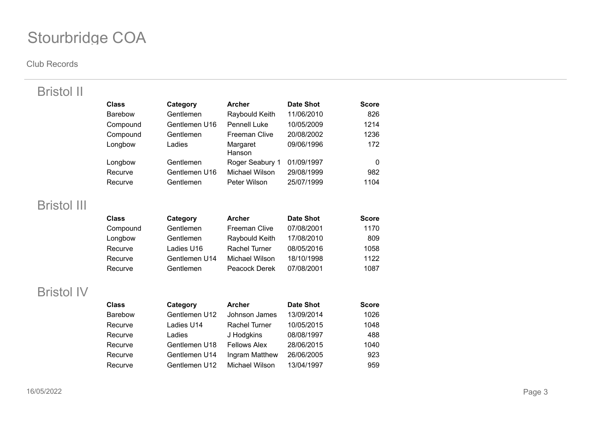#### **Club Records**

Bristol II

| <b>Class</b>   | Category      | <b>Archer</b>        | Date Shot  | <b>Score</b> |
|----------------|---------------|----------------------|------------|--------------|
| <b>Barebow</b> | Gentlemen     | Raybould Keith       | 11/06/2010 | 826          |
| Compound       | Gentlemen U16 | <b>Pennell Luke</b>  | 10/05/2009 | 1214         |
| Compound       | Gentlemen     | <b>Freeman Clive</b> | 20/08/2002 | 1236         |
| Longbow        | Ladies        | Margaret<br>Hanson   | 09/06/1996 | 172          |
| Longbow        | Gentlemen     | Roger Seabury 1      | 01/09/1997 | 0            |
| Recurve        | Gentlemen U16 | Michael Wilson       | 29/08/1999 | 982          |
| Recurve        | Gentlemen     | Peter Wilson         | 25/07/1999 | 1104         |

## Bristol III

| <b>Class</b> | Category      | <b>Archer</b>  | <b>Date Shot</b> | <b>Score</b> |
|--------------|---------------|----------------|------------------|--------------|
| Compound     | Gentlemen     | Freeman Clive  | 07/08/2001       | 1170         |
| Longbow      | Gentlemen     | Raybould Keith | 17/08/2010       | 809          |
| Recurve      | Ladies U16    | Rachel Turner  | 08/05/2016       | 1058         |
| Recurve      | Gentlemen U14 | Michael Wilson | 18/10/1998       | 1122         |
| Recurve      | Gentlemen     | Peacock Derek  | 07/08/2001       | 1087         |

## Bristol IV

| <b>Class</b>   | Category      | <b>Archer</b>       | <b>Date Shot</b> | <b>Score</b> |
|----------------|---------------|---------------------|------------------|--------------|
| <b>Barebow</b> | Gentlemen U12 | Johnson James       | 13/09/2014       | 1026         |
| Recurve        | Ladies U14    | Rachel Turner       | 10/05/2015       | 1048         |
| Recurve        | Ladies        | J Hodgkins          | 08/08/1997       | 488          |
| Recurve        | Gentlemen U18 | <b>Fellows Alex</b> | 28/06/2015       | 1040         |
| Recurve        | Gentlemen U14 | Ingram Matthew      | 26/06/2005       | 923          |
| Recurve        | Gentlemen U12 | Michael Wilson      | 13/04/1997       | 959          |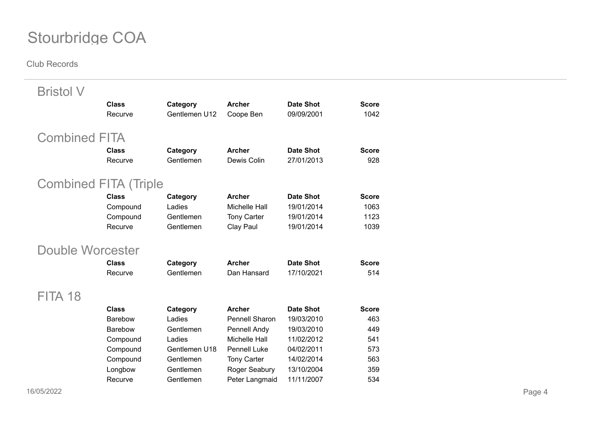| <b>Bristol V</b>             |                |               |                      |                  |              |
|------------------------------|----------------|---------------|----------------------|------------------|--------------|
|                              | <b>Class</b>   | Category      | <b>Archer</b>        | <b>Date Shot</b> | <b>Score</b> |
|                              | Recurve        | Gentlemen U12 | Coope Ben            | 09/09/2001       | 1042         |
| <b>Combined FITA</b>         |                |               |                      |                  |              |
|                              | <b>Class</b>   | Category      | <b>Archer</b>        | <b>Date Shot</b> | <b>Score</b> |
|                              | Recurve        | Gentlemen     | Dewis Colin          | 27/01/2013       | 928          |
| <b>Combined FITA (Triple</b> |                |               |                      |                  |              |
|                              | <b>Class</b>   | Category      | <b>Archer</b>        | <b>Date Shot</b> | <b>Score</b> |
|                              | Compound       | Ladies        | <b>Michelle Hall</b> | 19/01/2014       | 1063         |
|                              | Compound       | Gentlemen     | <b>Tony Carter</b>   | 19/01/2014       | 1123         |
|                              | Recurve        | Gentlemen     | Clay Paul            | 19/01/2014       | 1039         |
| <b>Double Worcester</b>      |                |               |                      |                  |              |
|                              | <b>Class</b>   | Category      | <b>Archer</b>        | <b>Date Shot</b> | <b>Score</b> |
|                              | Recurve        | Gentlemen     | Dan Hansard          | 17/10/2021       | 514          |
| FITA 18                      |                |               |                      |                  |              |
|                              | <b>Class</b>   | Category      | <b>Archer</b>        | <b>Date Shot</b> | <b>Score</b> |
|                              | <b>Barebow</b> | Ladies        | Pennell Sharon       | 19/03/2010       | 463          |
|                              | Barebow        | Gentlemen     | Pennell Andy         | 19/03/2010       | 449          |
|                              | Compound       | Ladies        | <b>Michelle Hall</b> | 11/02/2012       | 541          |
|                              | Compound       | Gentlemen U18 | <b>Pennell Luke</b>  | 04/02/2011       | 573          |
|                              | Compound       | Gentlemen     | <b>Tony Carter</b>   | 14/02/2014       | 563          |
|                              | Longbow        | Gentlemen     | Roger Seabury        | 13/10/2004       | 359          |
|                              | Recurve        | Gentlemen     | Peter Langmaid       | 11/11/2007       | 534          |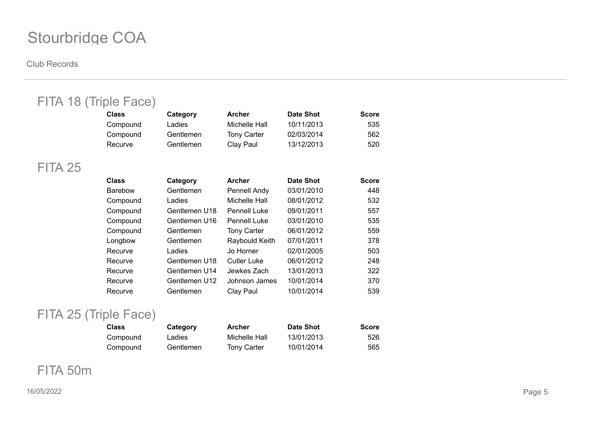#### **Club Records**

| <b>Class</b>   | Category              | <b>Archer</b>       | <b>Date Shot</b> | <b>Score</b> |
|----------------|-----------------------|---------------------|------------------|--------------|
| Compound       | Ladies                | Michelle Hall       | 10/11/2013       | 535          |
| Compound       | Gentlemen             | <b>Tony Carter</b>  | 02/03/2014       | 562          |
| Recurve        | Gentlemen             | Clay Paul           | 13/12/2013       | 520          |
|                |                       |                     |                  |              |
| <b>Class</b>   | Category              | <b>Archer</b>       | <b>Date Shot</b> | <b>Score</b> |
| <b>Barebow</b> | Gentlemen             | Pennell Andy        | 03/01/2010       | 448          |
| Compound       | Ladies                | Michelle Hall       | 08/01/2012       | 532          |
| Compound       | Gentlemen U18         | <b>Pennell Luke</b> | 09/01/2011       | 557          |
| Compound       | Gentlemen U16         | <b>Pennell Luke</b> | 03/01/2010       | 535          |
| Compound       | Gentlemen             | <b>Tony Carter</b>  | 06/01/2012       | 559          |
| Longbow        | Gentlemen             | Raybould Keith      | 07/01/2011       | 378          |
| Recurve        | Ladies                | Jo Horner           | 02/01/2005       | 503          |
| Recurve        | Gentlemen U18         | <b>Cutler Luke</b>  | 06/01/2012       | 248          |
| Recurve        | Gentlemen U14         | Jewkes Zach         | 13/01/2013       | 322          |
| Recurve        | Gentlemen U12         | Johnson James       | 10/01/2014       | 370          |
| Recurve        | Gentlemen             | Clay Paul           | 10/01/2014       | 539          |
|                | FITA 18 (Triple Face) |                     |                  |              |

## FITA 25 (Triple Face)

| Class    | Category  | Archer             | Date Shot  | <b>Score</b> |
|----------|-----------|--------------------|------------|--------------|
| Compound | Ladies    | Michelle Hall      | 13/01/2013 | 526          |
| Compound | Gentlemen | <b>Tony Carter</b> | 10/01/2014 | 565          |

## FITA 50m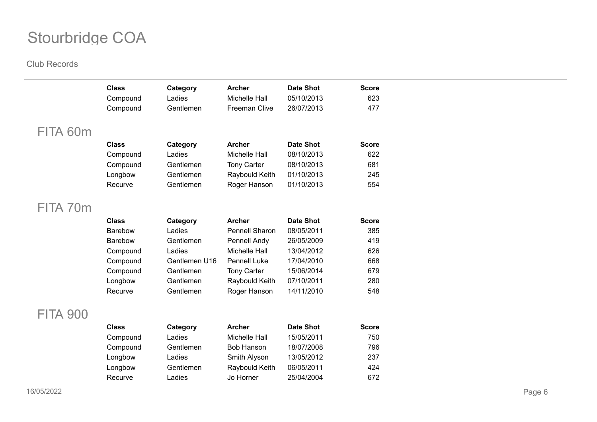|                 | <b>Class</b><br>Compound | Category<br>Ladies | <b>Archer</b><br>Michelle Hall | <b>Date Shot</b><br>05/10/2013 | <b>Score</b><br>623 |
|-----------------|--------------------------|--------------------|--------------------------------|--------------------------------|---------------------|
|                 | Compound                 | Gentlemen          | Freeman Clive                  | 26/07/2013                     | 477                 |
|                 |                          |                    |                                |                                |                     |
| FITA 60m        |                          |                    |                                |                                |                     |
|                 | <b>Class</b>             | Category           | <b>Archer</b>                  | <b>Date Shot</b>               | <b>Score</b>        |
|                 | Compound                 | Ladies             | Michelle Hall                  | 08/10/2013                     | 622                 |
|                 | Compound                 | Gentlemen          | <b>Tony Carter</b>             | 08/10/2013                     | 681                 |
|                 | Longbow                  | Gentlemen          | Raybould Keith                 | 01/10/2013                     | 245                 |
|                 | Recurve                  | Gentlemen          | Roger Hanson                   | 01/10/2013                     | 554                 |
| FITA 70m        |                          |                    |                                |                                |                     |
|                 |                          |                    |                                |                                |                     |
|                 | <b>Class</b>             | Category           | <b>Archer</b>                  | <b>Date Shot</b>               | <b>Score</b>        |
|                 | Barebow                  | Ladies             | <b>Pennell Sharon</b>          | 08/05/2011                     | 385                 |
|                 | Barebow                  | Gentlemen          | Pennell Andy                   | 26/05/2009                     | 419                 |
|                 | Compound                 | Ladies             | Michelle Hall                  | 13/04/2012                     | 626                 |
|                 | Compound                 | Gentlemen U16      | Pennell Luke                   | 17/04/2010                     | 668                 |
|                 | Compound                 | Gentlemen          | <b>Tony Carter</b>             | 15/06/2014                     | 679                 |
|                 | Longbow                  | Gentlemen          | Raybould Keith                 | 07/10/2011                     | 280                 |
|                 | Recurve                  | Gentlemen          | Roger Hanson                   | 14/11/2010                     | 548                 |
| <b>FITA 900</b> |                          |                    |                                |                                |                     |
|                 | <b>Class</b>             | Category           | <b>Archer</b>                  | <b>Date Shot</b>               | <b>Score</b>        |
|                 | Compound                 | Ladies             | Michelle Hall                  | 15/05/2011                     | 750                 |
|                 | Compound                 | Gentlemen          | <b>Bob Hanson</b>              | 18/07/2008                     | 796                 |
|                 | Longbow                  | Ladies             | Smith Alyson                   | 13/05/2012                     | 237                 |
|                 | Longbow                  | Gentlemen          | Raybould Keith                 | 06/05/2011                     | 424                 |
|                 | Recurve                  | Ladies             | Jo Horner                      | 25/04/2004                     | 672                 |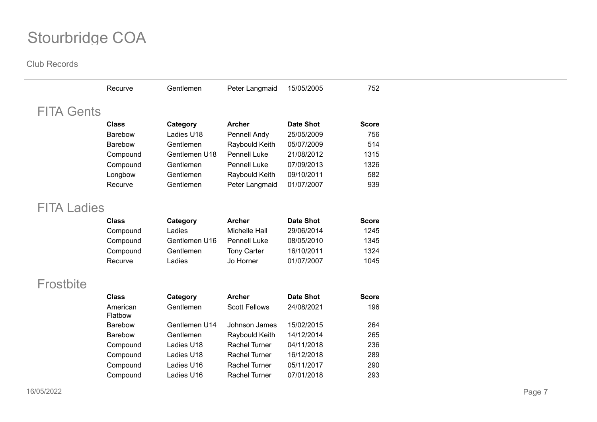|                    | Recurve             | Gentlemen     | Peter Langmaid       | 15/05/2005       | 752          |
|--------------------|---------------------|---------------|----------------------|------------------|--------------|
| <b>FITA Gents</b>  |                     |               |                      |                  |              |
|                    | <b>Class</b>        | Category      | <b>Archer</b>        | <b>Date Shot</b> | <b>Score</b> |
|                    | <b>Barebow</b>      | Ladies U18    | Pennell Andy         | 25/05/2009       | 756          |
|                    | <b>Barebow</b>      | Gentlemen     | Raybould Keith       | 05/07/2009       | 514          |
|                    | Compound            | Gentlemen U18 | <b>Pennell Luke</b>  | 21/08/2012       | 1315         |
|                    | Compound            | Gentlemen     | Pennell Luke         | 07/09/2013       | 1326         |
|                    | Longbow             | Gentlemen     | Raybould Keith       | 09/10/2011       | 582          |
|                    | Recurve             | Gentlemen     | Peter Langmaid       | 01/07/2007       | 939          |
| <b>FITA Ladies</b> |                     |               |                      |                  |              |
|                    | <b>Class</b>        | Category      | <b>Archer</b>        | <b>Date Shot</b> | <b>Score</b> |
|                    | Compound            | Ladies        | Michelle Hall        | 29/06/2014       | 1245         |
|                    | Compound            | Gentlemen U16 | Pennell Luke         | 08/05/2010       | 1345         |
|                    | Compound            | Gentlemen     | <b>Tony Carter</b>   | 16/10/2011       | 1324         |
|                    | Recurve             | Ladies        | Jo Horner            | 01/07/2007       | 1045         |
| Frostbite          |                     |               |                      |                  |              |
|                    | <b>Class</b>        | Category      | <b>Archer</b>        | <b>Date Shot</b> | <b>Score</b> |
|                    | American<br>Flatbow | Gentlemen     | <b>Scott Fellows</b> | 24/08/2021       | 196          |
|                    | <b>Barebow</b>      | Gentlemen U14 | Johnson James        | 15/02/2015       | 264          |
|                    | <b>Barebow</b>      | Gentlemen     | Raybould Keith       | 14/12/2014       | 265          |
|                    | Compound            | Ladies U18    | <b>Rachel Turner</b> | 04/11/2018       | 236          |
|                    | Compound            | Ladies U18    | <b>Rachel Turner</b> | 16/12/2018       | 289          |
|                    | Compound            | Ladies U16    | <b>Rachel Turner</b> | 05/11/2017       | 290          |
|                    | Compound            | Ladies U16    | <b>Rachel Turner</b> | 07/01/2018       | 293          |
|                    |                     |               |                      |                  |              |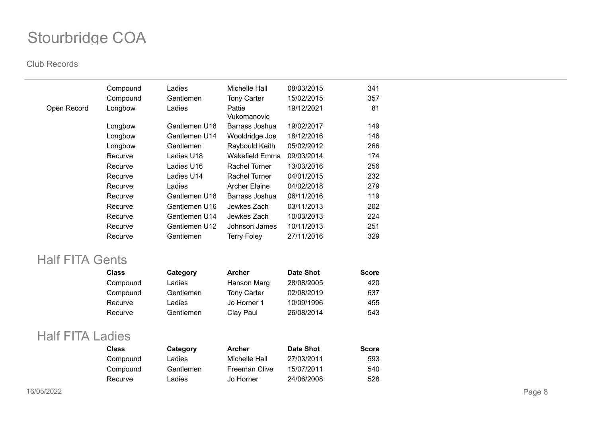#### **Club Records**

|             | Compound | Ladies        | Michelle Hall         | 08/03/2015 | 341 |
|-------------|----------|---------------|-----------------------|------------|-----|
|             | Compound | Gentlemen     | <b>Tony Carter</b>    | 15/02/2015 | 357 |
| Open Record | Longbow  | Ladies        | Pattie<br>Vukomanovic | 19/12/2021 | 81  |
|             | Longbow  | Gentlemen U18 | Barrass Joshua        | 19/02/2017 | 149 |
|             | Longbow  | Gentlemen U14 | Wooldridge Joe        | 18/12/2016 | 146 |
|             | Longbow  | Gentlemen     | Raybould Keith        | 05/02/2012 | 266 |
|             | Recurve  | Ladies U18    | Wakefield Emma        | 09/03/2014 | 174 |
|             | Recurve  | Ladies U16    | Rachel Turner         | 13/03/2016 | 256 |
|             | Recurve  | Ladies U14    | Rachel Turner         | 04/01/2015 | 232 |
|             | Recurve  | Ladies        | <b>Archer Elaine</b>  | 04/02/2018 | 279 |
|             | Recurve  | Gentlemen U18 | Barrass Joshua        | 06/11/2016 | 119 |
|             | Recurve  | Gentlemen U16 | Jewkes Zach           | 03/11/2013 | 202 |
|             | Recurve  | Gentlemen U14 | Jewkes Zach           | 10/03/2013 | 224 |
|             | Recurve  | Gentlemen U12 | Johnson James         | 10/11/2013 | 251 |
|             | Recurve  | Gentlemen     | <b>Terry Foley</b>    | 27/11/2016 | 329 |

### Half FITA Gents

| <b>Class</b> | Category  | <b>Archer</b>      | <b>Date Shot</b> | <b>Score</b> |
|--------------|-----------|--------------------|------------------|--------------|
| Compound     | Ladies    | Hanson Marg        | 28/08/2005       | 420          |
| Compound     | Gentlemen | <b>Tony Carter</b> | 02/08/2019       | 637          |
| Recurve      | Ladies    | Jo Horner 1        | 10/09/1996       | 455          |
| Recurve      | Gentlemen | Clay Paul          | 26/08/2014       | 543          |

### Half FITA Ladies

| <b>Class</b> | Category  | Archer        | <b>Date Shot</b> | <b>Score</b> |
|--------------|-----------|---------------|------------------|--------------|
| Compound     | Ladies    | Michelle Hall | 27/03/2011       | 593          |
| Compound     | Gentlemen | Freeman Clive | 15/07/2011       | 540          |
| Recurve      | Ladies    | Jo Horner     | 24/06/2008       | 528          |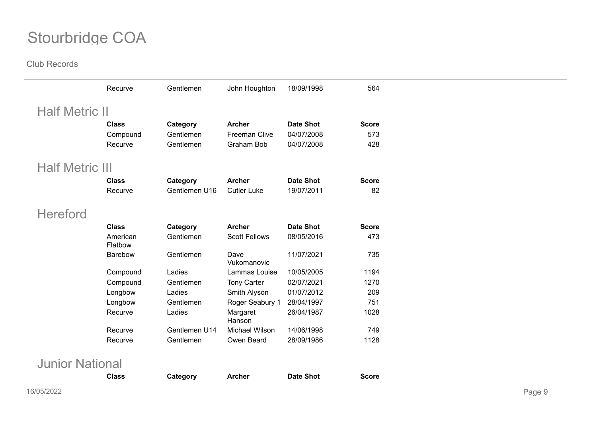|                        | Recurve             | Gentlemen     | John Houghton        | 18/09/1998       | 564          |  |
|------------------------|---------------------|---------------|----------------------|------------------|--------------|--|
| <b>Half Metric II</b>  |                     |               |                      |                  |              |  |
|                        | <b>Class</b>        | Category      | <b>Archer</b>        | <b>Date Shot</b> | <b>Score</b> |  |
|                        | Compound            | Gentlemen     | <b>Freeman Clive</b> | 04/07/2008       | 573          |  |
|                        | Recurve             | Gentlemen     | Graham Bob           | 04/07/2008       | 428          |  |
| <b>Half Metric III</b> |                     |               |                      |                  |              |  |
|                        | <b>Class</b>        | Category      | <b>Archer</b>        | <b>Date Shot</b> | <b>Score</b> |  |
|                        | Recurve             | Gentlemen U16 | <b>Cutler Luke</b>   | 19/07/2011       | 82           |  |
| <b>Hereford</b>        |                     |               |                      |                  |              |  |
|                        | <b>Class</b>        | Category      | <b>Archer</b>        | <b>Date Shot</b> | <b>Score</b> |  |
|                        | American<br>Flatbow | Gentlemen     | <b>Scott Fellows</b> | 08/05/2016       | 473          |  |
|                        | Barebow             | Gentlemen     | Dave<br>Vukomanovic  | 11/07/2021       | 735          |  |
|                        | Compound            | Ladies        | Lammas Louise        | 10/05/2005       | 1194         |  |
|                        | Compound            | Gentlemen     | <b>Tony Carter</b>   | 02/07/2021       | 1270         |  |
|                        | Longbow             | Ladies        | Smith Alyson         | 01/07/2012       | 209          |  |
|                        | Longbow             | Gentlemen     | Roger Seabury 1      | 28/04/1997       | 751          |  |
|                        | Recurve             | Ladies        | Margaret<br>Hanson   | 26/04/1987       | 1028         |  |
|                        | Recurve             | Gentlemen U14 | Michael Wilson       | 14/06/1998       | 749          |  |
|                        | Recurve             | Gentlemen     | Owen Beard           | 28/09/1986       | 1128         |  |
| <b>Junior National</b> |                     |               |                      |                  |              |  |
|                        | <b>Class</b>        | Category      | <b>Archer</b>        | <b>Date Shot</b> | <b>Score</b> |  |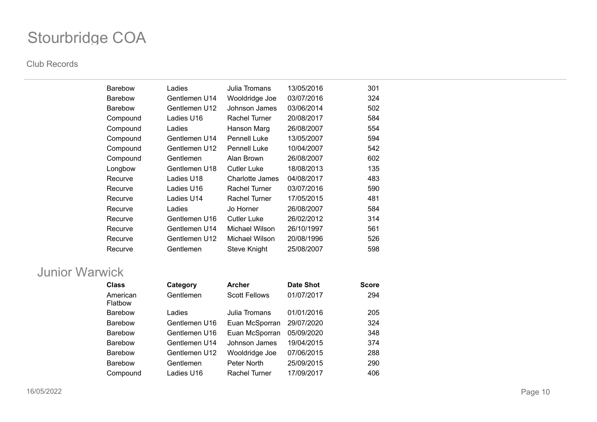#### **Club Records**

| <b>Barebow</b> | Ladies        | Julia Tromans        | 13/05/2016 | 301 |
|----------------|---------------|----------------------|------------|-----|
| <b>Barebow</b> | Gentlemen U14 | Wooldridge Joe       | 03/07/2016 | 324 |
| <b>Barebow</b> | Gentlemen U12 | Johnson James        | 03/06/2014 | 502 |
| Compound       | Ladies U16    | <b>Rachel Turner</b> | 20/08/2017 | 584 |
| Compound       | Ladies        | Hanson Marg          | 26/08/2007 | 554 |
| Compound       | Gentlemen U14 | <b>Pennell Luke</b>  | 13/05/2007 | 594 |
| Compound       | Gentlemen U12 | <b>Pennell Luke</b>  | 10/04/2007 | 542 |
| Compound       | Gentlemen     | Alan Brown           | 26/08/2007 | 602 |
| Longbow        | Gentlemen U18 | Cutler Luke          | 18/08/2013 | 135 |
| Recurve        | Ladies U18    | Charlotte James      | 04/08/2017 | 483 |
| Recurve        | Ladies U16    | Rachel Turner        | 03/07/2016 | 590 |
| Recurve        | Ladies U14    | Rachel Turner        | 17/05/2015 | 481 |
| Recurve        | Ladies        | Jo Horner            | 26/08/2007 | 584 |
| Recurve        | Gentlemen U16 | Cutler Luke          | 26/02/2012 | 314 |
| Recurve        | Gentlemen U14 | Michael Wilson       | 26/10/1997 | 561 |
| Recurve        | Gentlemen U12 | Michael Wilson       | 20/08/1996 | 526 |
| Recurve        | Gentlemen     | Steve Knight         | 25/08/2007 | 598 |

## Junior Warwick

| <b>Class</b>        | Category      | <b>Archer</b>        | <b>Date Shot</b> | <b>Score</b> |
|---------------------|---------------|----------------------|------------------|--------------|
| American<br>Flatbow | Gentlemen     | <b>Scott Fellows</b> | 01/07/2017       | 294          |
| <b>Barebow</b>      | Ladies        | Julia Tromans        | 01/01/2016       | 205          |
| <b>Barebow</b>      | Gentlemen U16 | Euan McSporran       | 29/07/2020       | 324          |
| <b>Barebow</b>      | Gentlemen U16 | Euan McSporran       | 05/09/2020       | 348          |
| <b>Barebow</b>      | Gentlemen U14 | Johnson James        | 19/04/2015       | 374          |
| <b>Barebow</b>      | Gentlemen U12 | Wooldridge Joe       | 07/06/2015       | 288          |
| <b>Barebow</b>      | Gentlemen     | Peter North          | 25/09/2015       | 290          |
| Compound            | Ladies U16    | <b>Rachel Turner</b> | 17/09/2017       | 406          |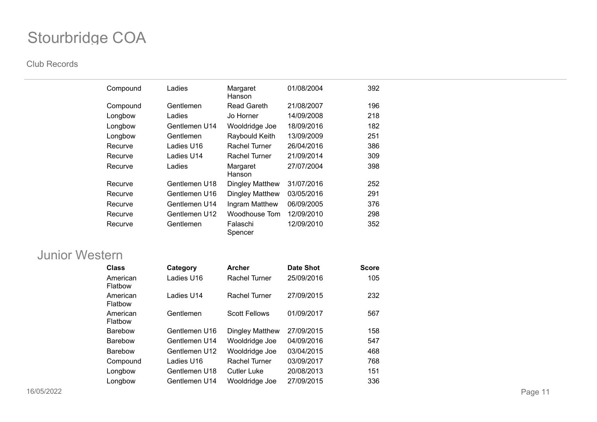#### **Club Records**

| Compound | Ladies        | Margaret<br>Hanson     | 01/08/2004 | 392 |
|----------|---------------|------------------------|------------|-----|
| Compound | Gentlemen     | <b>Read Gareth</b>     | 21/08/2007 | 196 |
| Longbow  | Ladies        | Jo Horner              | 14/09/2008 | 218 |
| Longbow  | Gentlemen U14 | Wooldridge Joe         | 18/09/2016 | 182 |
| Longbow  | Gentlemen     | Raybould Keith         | 13/09/2009 | 251 |
| Recurve  | Ladies U16    | Rachel Turner          | 26/04/2016 | 386 |
| Recurve  | Ladies U14    | Rachel Turner          | 21/09/2014 | 309 |
| Recurve  | Ladies        | Margaret<br>Hanson     | 27/07/2004 | 398 |
| Recurve  | Gentlemen U18 | <b>Dingley Matthew</b> | 31/07/2016 | 252 |
| Recurve  | Gentlemen U16 | Dingley Matthew        | 03/05/2016 | 291 |
| Recurve  | Gentlemen U14 | Ingram Matthew         | 06/09/2005 | 376 |
| Recurve  | Gentlemen U12 | Woodhouse Tom          | 12/09/2010 | 298 |
| Recurve  | Gentlemen     | Falaschi<br>Spencer    | 12/09/2010 | 352 |

### Junior Western

| <b>Class</b>        | Category      | <b>Archer</b>        | Date Shot  | <b>Score</b> |
|---------------------|---------------|----------------------|------------|--------------|
| American<br>Flatbow | Ladies U16    | <b>Rachel Turner</b> | 25/09/2016 | 105          |
| American<br>Flatbow | Ladies U14    | Rachel Turner        | 27/09/2015 | 232          |
| American<br>Flatbow | Gentlemen     | <b>Scott Fellows</b> | 01/09/2017 | 567          |
| <b>Barebow</b>      | Gentlemen U16 | Dingley Matthew      | 27/09/2015 | 158          |
| <b>Barebow</b>      | Gentlemen U14 | Wooldridge Joe       | 04/09/2016 | 547          |
| <b>Barebow</b>      | Gentlemen U12 | Wooldridge Joe       | 03/04/2015 | 468          |
| Compound            | Ladies U16    | Rachel Turner        | 03/09/2017 | 768          |
| Longbow             | Gentlemen U18 | <b>Cutler Luke</b>   | 20/08/2013 | 151          |
| Longbow             | Gentlemen U14 | Wooldridge Joe       | 27/09/2015 | 336          |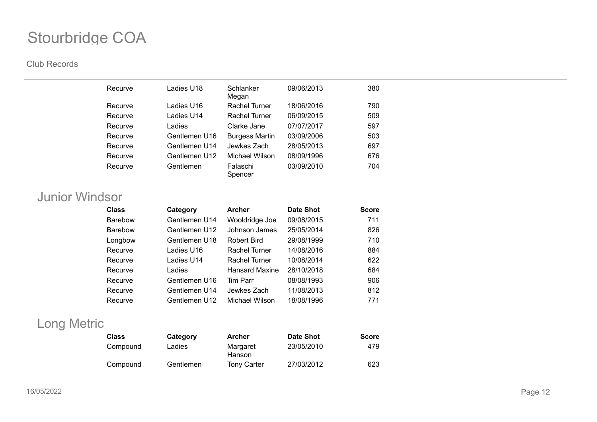#### **Club Records**

| Recurve | Ladies U18    | Schlanker<br>Megan    | 09/06/2013 | 380 |
|---------|---------------|-----------------------|------------|-----|
| Recurve | Ladies U16    | <b>Rachel Turner</b>  | 18/06/2016 | 790 |
| Recurve | Ladies U14    | Rachel Turner         | 06/09/2015 | 509 |
| Recurve | Ladies        | Clarke Jane           | 07/07/2017 | 597 |
| Recurve | Gentlemen U16 | <b>Burgess Martin</b> | 03/09/2006 | 503 |
| Recurve | Gentlemen U14 | Jewkes Zach           | 28/05/2013 | 697 |
| Recurve | Gentlemen U12 | Michael Wilson        | 08/09/1996 | 676 |
| Recurve | Gentlemen     | Falaschi<br>Spencer   | 03/09/2010 | 704 |

## Junior Windsor

| <b>Class</b>   | Category      | <b>Archer</b>         | <b>Date Shot</b> | <b>Score</b> |
|----------------|---------------|-----------------------|------------------|--------------|
| <b>Barebow</b> | Gentlemen U14 | Wooldridge Joe        | 09/08/2015       | 711          |
| <b>Barebow</b> | Gentlemen U12 | Johnson James         | 25/05/2014       | 826          |
| Longbow        | Gentlemen U18 | Robert Bird           | 29/08/1999       | 710          |
| Recurve        | Ladies U16    | Rachel Turner         | 14/08/2016       | 884          |
| Recurve        | Ladies U14    | Rachel Turner         | 10/08/2014       | 622          |
| Recurve        | Ladies        | <b>Hansard Maxine</b> | 28/10/2018       | 684          |
| Recurve        | Gentlemen U16 | Tim Parr              | 08/08/1993       | 906          |
| Recurve        | Gentlemen U14 | Jewkes Zach           | 11/08/2013       | 812          |
| Recurve        | Gentlemen U12 | Michael Wilson        | 18/08/1996       | 771          |

## Long Metric

| <b>Class</b> | Category  | <b>Archer</b>      | <b>Date Shot</b> | <b>Score</b> |
|--------------|-----------|--------------------|------------------|--------------|
| Compound     | Ladies    | Margaret<br>Hanson | 23/05/2010       | 479          |
| Compound     | Gentlemen | <b>Tony Carter</b> | 27/03/2012       | 623          |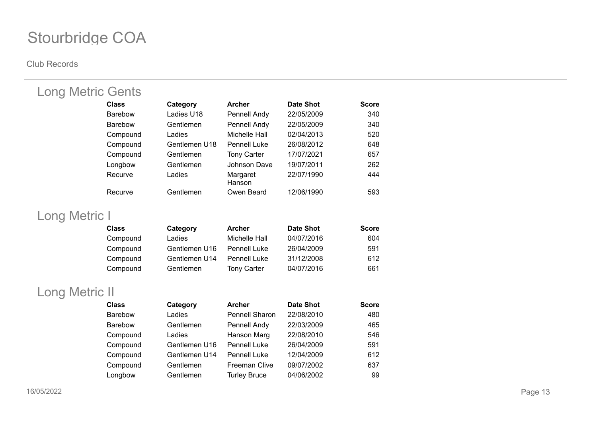#### **Club Records**

| <b>Long Metric Gents</b> |               |                    |            |              |
|--------------------------|---------------|--------------------|------------|--------------|
| <b>Class</b>             | Category      | <b>Archer</b>      | Date Shot  | <b>Score</b> |
| <b>Barebow</b>           | Ladies U18    | Pennell Andy       | 22/05/2009 | 340          |
| <b>Barebow</b>           | Gentlemen     | Pennell Andy       | 22/05/2009 | 340          |
| Compound                 | Ladies        | Michelle Hall      | 02/04/2013 | 520          |
| Compound                 | Gentlemen U18 | Pennell Luke       | 26/08/2012 | 648          |
| Compound                 | Gentlemen     | <b>Tony Carter</b> | 17/07/2021 | 657          |
| Longbow                  | Gentlemen     | Johnson Dave       | 19/07/2011 | 262          |
| Recurve                  | Ladies        | Margaret<br>Hanson | 22/07/1990 | 444          |
| Recurve                  | Gentlemen     | Owen Beard         | 12/06/1990 | 593          |

## Long Metric I

| <b>Class</b> | Category      | <b>Archer</b>       | <b>Date Shot</b> | <b>Score</b> |
|--------------|---------------|---------------------|------------------|--------------|
| Compound     | Ladies        | Michelle Hall       | 04/07/2016       | 604          |
| Compound     | Gentlemen U16 | <b>Pennell Luke</b> | 26/04/2009       | 591          |
| Compound     | Gentlemen U14 | <b>Pennell Luke</b> | 31/12/2008       | 612          |
| Compound     | Gentlemen     | <b>Tony Carter</b>  | 04/07/2016       | 661          |

## Long Metric II

| <b>Class</b>   | Category      | <b>Archer</b>         | <b>Date Shot</b> | <b>Score</b> |
|----------------|---------------|-----------------------|------------------|--------------|
| <b>Barebow</b> | Ladies        | <b>Pennell Sharon</b> | 22/08/2010       | 480          |
| <b>Barebow</b> | Gentlemen     | Pennell Andy          | 22/03/2009       | 465          |
| Compound       | Ladies        | Hanson Marg           | 22/08/2010       | 546          |
| Compound       | Gentlemen U16 | <b>Pennell Luke</b>   | 26/04/2009       | 591          |
| Compound       | Gentlemen U14 | <b>Pennell Luke</b>   | 12/04/2009       | 612          |
| Compound       | Gentlemen     | <b>Freeman Clive</b>  | 09/07/2002       | 637          |
| Longbow        | Gentlemen     | <b>Turley Bruce</b>   | 04/06/2002       | 99           |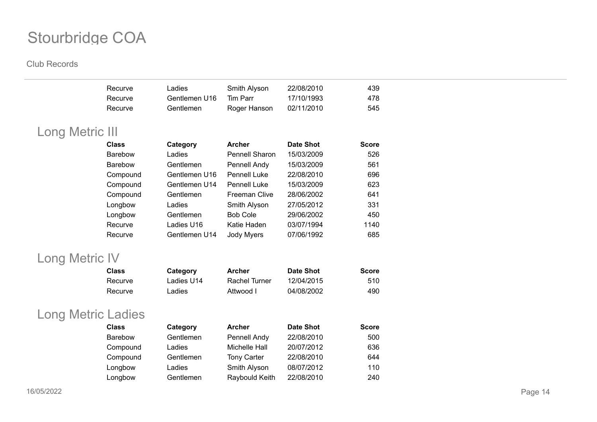|                       | Recurve                            | Ladies                | Smith Alyson         | 22/08/2010       | 439          |
|-----------------------|------------------------------------|-----------------------|----------------------|------------------|--------------|
|                       | Recurve                            | Gentlemen U16         | Tim Parr             | 17/10/1993       | 478          |
|                       | Recurve                            | Gentlemen             | Roger Hanson         | 02/11/2010       | 545          |
| Long Metric III       |                                    |                       |                      |                  |              |
|                       | <b>Class</b>                       | Category              | <b>Archer</b>        | <b>Date Shot</b> | <b>Score</b> |
|                       | Barebow                            | Ladies                | Pennell Sharon       | 15/03/2009       | 526          |
|                       | <b>Barebow</b>                     | Gentlemen             | Pennell Andy         | 15/03/2009       | 561          |
|                       | Compound                           | Gentlemen U16         | <b>Pennell Luke</b>  | 22/08/2010       | 696          |
|                       | Compound                           | Gentlemen U14         | Pennell Luke         | 15/03/2009       | 623          |
|                       | Compound                           | Gentlemen             | <b>Freeman Clive</b> | 28/06/2002       | 641          |
|                       | Longbow                            | Ladies                | Smith Alyson         | 27/05/2012       | 331          |
|                       | Longbow                            | Gentlemen             | <b>Bob Cole</b>      | 29/06/2002       | 450          |
|                       | Recurve                            | Ladies U16            | Katie Haden          | 03/07/1994       | 1140         |
|                       |                                    |                       |                      |                  |              |
|                       | Recurve                            | Gentlemen U14         | Jody Myers           | 07/06/1992       | 685          |
|                       |                                    |                       |                      |                  |              |
| <b>Long Metric IV</b> |                                    |                       |                      |                  |              |
|                       | <b>Class</b>                       | Category              | <b>Archer</b>        | <b>Date Shot</b> | <b>Score</b> |
|                       | Recurve                            | Ladies U14            | <b>Rachel Turner</b> | 12/04/2015       | 510          |
|                       | Recurve                            | Ladies                | Attwood I            | 04/08/2002       | 490          |
|                       |                                    |                       |                      |                  |              |
|                       | Long Metric Ladies<br><b>Class</b> |                       | <b>Archer</b>        | <b>Date Shot</b> | <b>Score</b> |
|                       | Barebow                            | Category<br>Gentlemen | Pennell Andy         | 22/08/2010       | 500          |
|                       | Compound                           | Ladies                | Michelle Hall        | 20/07/2012       | 636          |
|                       | Compound                           | Gentlemen             | <b>Tony Carter</b>   | 22/08/2010       | 644          |
|                       | Longbow                            | Ladies                | Smith Alyson         | 08/07/2012       | 110          |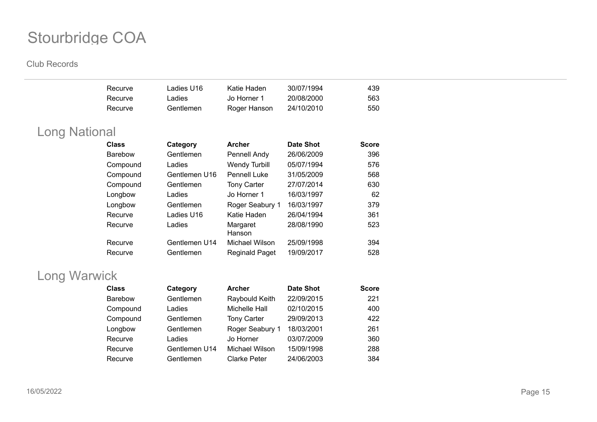**Club Records**

|                      | Recurve<br>Recurve | Ladies U16<br>Ladies | Katie Haden<br>Jo Horner 1 | 30/07/1994<br>20/08/2000 | 439<br>563   |
|----------------------|--------------------|----------------------|----------------------------|--------------------------|--------------|
|                      | Recurve            | Gentlemen            | Roger Hanson               | 24/10/2010               | 550          |
| <b>Long National</b> |                    |                      |                            |                          |              |
|                      | <b>Class</b>       | Category             | <b>Archer</b>              | <b>Date Shot</b>         | <b>Score</b> |
|                      | <b>Barebow</b>     | Gentlemen            | Pennell Andy               | 26/06/2009               | 396          |
|                      | Compound           | Ladies               | <b>Wendy Turbill</b>       | 05/07/1994               | 576          |
|                      | Compound           | Gentlemen U16        | <b>Pennell Luke</b>        | 31/05/2009               | 568          |
|                      | Compound           | Gentlemen            | <b>Tony Carter</b>         | 27/07/2014               | 630          |
|                      | Longbow            | Ladies               | Jo Horner 1                | 16/03/1997               | 62           |
|                      | Longbow            | Gentlemen            | Roger Seabury 1            | 16/03/1997               | 379          |
|                      | Recurve            | Ladies U16           | Katie Haden                | 26/04/1994               | 361          |
|                      | Recurve            | Ladies               | Margaret<br>Hanson         | 28/08/1990               | 523          |
|                      | Recurve            | Gentlemen U14        | Michael Wilson             | 25/09/1998               | 394          |
|                      | Recurve            | Gentlemen            | <b>Reginald Paget</b>      | 19/09/2017               | 528          |

## Long Warwick

| <b>Class</b>   | Category      | <b>Archer</b>       | <b>Date Shot</b> | <b>Score</b> |
|----------------|---------------|---------------------|------------------|--------------|
| <b>Barebow</b> | Gentlemen     | Raybould Keith      | 22/09/2015       | 221          |
| Compound       | Ladies        | Michelle Hall       | 02/10/2015       | 400          |
| Compound       | Gentlemen     | <b>Tony Carter</b>  | 29/09/2013       | 422          |
| Longbow        | Gentlemen     | Roger Seabury 1     | 18/03/2001       | 261          |
| Recurve        | Ladies        | Jo Horner           | 03/07/2009       | 360          |
| Recurve        | Gentlemen U14 | Michael Wilson      | 15/09/1998       | 288          |
| Recurve        | Gentlemen     | <b>Clarke Peter</b> | 24/06/2003       | 384          |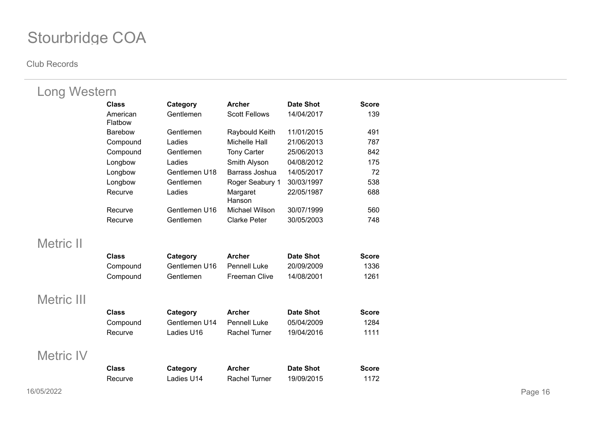| <b>Long Western</b> |                     |               |                      |                  |              |
|---------------------|---------------------|---------------|----------------------|------------------|--------------|
|                     | <b>Class</b>        | Category      | <b>Archer</b>        | <b>Date Shot</b> | <b>Score</b> |
|                     | American<br>Flatbow | Gentlemen     | <b>Scott Fellows</b> | 14/04/2017       | 139          |
|                     | <b>Barebow</b>      | Gentlemen     | Raybould Keith       | 11/01/2015       | 491          |
|                     | Compound            | Ladies        | <b>Michelle Hall</b> | 21/06/2013       | 787          |
|                     | Compound            | Gentlemen     | <b>Tony Carter</b>   | 25/06/2013       | 842          |
|                     | Longbow             | Ladies        | Smith Alyson         | 04/08/2012       | 175          |
|                     | Longbow             | Gentlemen U18 | Barrass Joshua       | 14/05/2017       | 72           |
|                     | Longbow             | Gentlemen     | Roger Seabury 1      | 30/03/1997       | 538          |
|                     | Recurve             | Ladies        | Margaret<br>Hanson   | 22/05/1987       | 688          |
|                     | Recurve             | Gentlemen U16 | Michael Wilson       | 30/07/1999       | 560          |
|                     | Recurve             | Gentlemen     | <b>Clarke Peter</b>  | 30/05/2003       | 748          |
| <b>Metric II</b>    |                     |               |                      |                  |              |
|                     | <b>Class</b>        | Category      | <b>Archer</b>        | <b>Date Shot</b> | <b>Score</b> |
|                     | Compound            | Gentlemen U16 | <b>Pennell Luke</b>  | 20/09/2009       | 1336         |
|                     | Compound            | Gentlemen     | Freeman Clive        | 14/08/2001       | 1261         |
| Metric III          |                     |               |                      |                  |              |
|                     | <b>Class</b>        | Category      | <b>Archer</b>        | <b>Date Shot</b> | <b>Score</b> |
|                     | Compound            | Gentlemen U14 | <b>Pennell Luke</b>  | 05/04/2009       | 1284         |
|                     | Recurve             | Ladies U16    | <b>Rachel Turner</b> | 19/04/2016       | 1111         |
| <b>Metric IV</b>    |                     |               |                      |                  |              |
|                     | <b>Class</b>        | Category      | <b>Archer</b>        | <b>Date Shot</b> | <b>Score</b> |
|                     | Recurve             | Ladies U14    | <b>Rachel Turner</b> | 19/09/2015       | 1172         |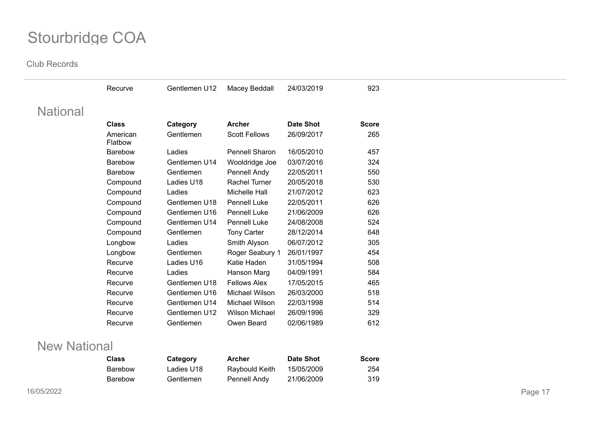**Club Records**

|                 | Recurve             | Gentlemen U12 | Macey Beddall         | 24/03/2019       | 923          |
|-----------------|---------------------|---------------|-----------------------|------------------|--------------|
| <b>National</b> |                     |               |                       |                  |              |
|                 | <b>Class</b>        | Category      | <b>Archer</b>         | <b>Date Shot</b> | <b>Score</b> |
|                 | American<br>Flatbow | Gentlemen     | <b>Scott Fellows</b>  | 26/09/2017       | 265          |
|                 | Barebow             | Ladies        | Pennell Sharon        | 16/05/2010       | 457          |
|                 | <b>Barebow</b>      | Gentlemen U14 | Wooldridge Joe        | 03/07/2016       | 324          |
|                 | Barebow             | Gentlemen     | Pennell Andy          | 22/05/2011       | 550          |
|                 | Compound            | Ladies U18    | Rachel Turner         | 20/05/2018       | 530          |
|                 | Compound            | Ladies        | Michelle Hall         | 21/07/2012       | 623          |
|                 | Compound            | Gentlemen U18 | Pennell Luke          | 22/05/2011       | 626          |
|                 | Compound            | Gentlemen U16 | <b>Pennell Luke</b>   | 21/06/2009       | 626          |
|                 | Compound            | Gentlemen U14 | Pennell Luke          | 24/08/2008       | 524          |
|                 | Compound            | Gentlemen     | <b>Tony Carter</b>    | 28/12/2014       | 648          |
|                 | Longbow             | Ladies        | Smith Alyson          | 06/07/2012       | 305          |
|                 | Longbow             | Gentlemen     | Roger Seabury 1       | 26/01/1997       | 454          |
|                 | Recurve             | Ladies U16    | Katie Haden           | 31/05/1994       | 508          |
|                 | Recurve             | Ladies        | Hanson Marg           | 04/09/1991       | 584          |
|                 | Recurve             | Gentlemen U18 | <b>Fellows Alex</b>   | 17/05/2015       | 465          |
|                 | Recurve             | Gentlemen U16 | Michael Wilson        | 26/03/2000       | 518          |
|                 | Recurve             | Gentlemen U14 | Michael Wilson        | 22/03/1998       | 514          |
|                 | Recurve             | Gentlemen U12 | <b>Wilson Michael</b> | 26/09/1996       | 329          |
|                 | Recurve             | Gentlemen     | Owen Beard            | 02/06/1989       | 612          |

### New National

| Class   | Category   | Archer         | Date Shot  | <b>Score</b> |
|---------|------------|----------------|------------|--------------|
| Barebow | Ladies U18 | Ravbould Keith | 15/05/2009 | 254          |
| Barebow | Gentlemen  | Pennell Andy   | 21/06/2009 | -319         |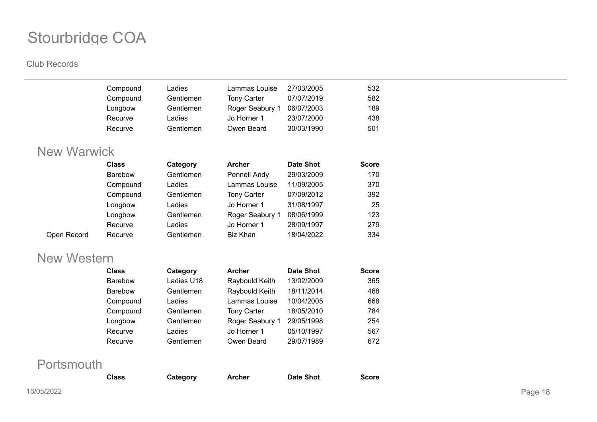#### **Club Records**

| Compound | Ladies    | Lammas Louise      | 27/03/2005 | 532 |
|----------|-----------|--------------------|------------|-----|
| Compound | Gentlemen | <b>Tony Carter</b> | 07/07/2019 | 582 |
| Longbow  | Gentlemen | Roger Seabury 1    | 06/07/2003 | 189 |
| Recurve  | Ladies    | Jo Horner 1        | 23/07/2000 | 438 |
| Recurve  | Gentlemen | Owen Beard         | 30/03/1990 | 501 |
|          |           |                    |            |     |

## New Warwick

|             | <b>Class</b>   | Category  | <b>Archer</b>      | <b>Date Shot</b> | <b>Score</b> |
|-------------|----------------|-----------|--------------------|------------------|--------------|
|             | <b>Barebow</b> | Gentlemen | Pennell Andy       | 29/03/2009       | 170          |
|             | Compound       | Ladies    | Lammas Louise      | 11/09/2005       | 370          |
|             | Compound       | Gentlemen | <b>Tony Carter</b> | 07/09/2012       | 392          |
|             | Longbow        | Ladies    | Jo Horner 1        | 31/08/1997       | 25           |
|             | Longbow        | Gentlemen | Roger Seabury 1    | 08/06/1999       | 123          |
|             | Recurve        | Ladies    | Jo Horner 1        | 28/09/1997       | 279          |
| Open Record | Recurve        | Gentlemen | Biz Khan           | 18/04/2022       | 334          |
|             |                |           |                    |                  |              |

### New Western

| <b>Class</b>   | Category   | <b>Archer</b>      | <b>Date Shot</b> | <b>Score</b> |
|----------------|------------|--------------------|------------------|--------------|
| <b>Barebow</b> | Ladies U18 | Raybould Keith     | 13/02/2009       | 365          |
| <b>Barebow</b> | Gentlemen  | Raybould Keith     | 18/11/2014       | 468          |
| Compound       | Ladies     | Lammas Louise      | 10/04/2005       | 668          |
| Compound       | Gentlemen  | <b>Tony Carter</b> | 18/05/2010       | 784          |
| Longbow        | Gentlemen  | Roger Seabury 1    | 29/05/1998       | 254          |
| Recurve        | Ladies     | Jo Horner 1        | 05/10/1997       | 567          |
| Recurve        | Gentlemen  | Owen Beard         | 29/07/1989       | 672          |
|                |            |                    |                  |              |

## **Portsmouth**

| <b>Class</b> | Category | <b>Archer</b> | <b>Date Shot</b> | <b>Score</b> |
|--------------|----------|---------------|------------------|--------------|
|              |          |               |                  |              |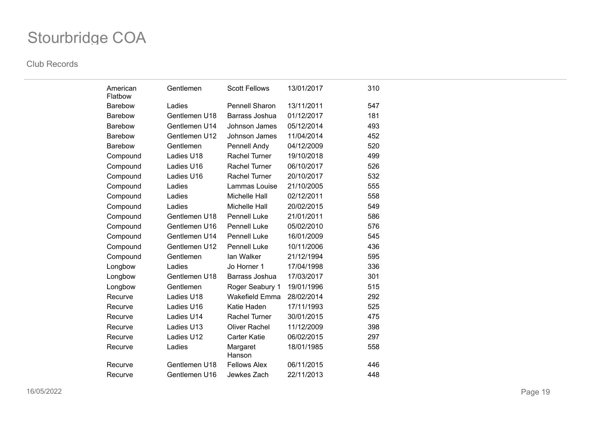| American<br>Flatbow | Gentlemen     | <b>Scott Fellows</b>  | 13/01/2017 | 310 |
|---------------------|---------------|-----------------------|------------|-----|
| <b>Barebow</b>      | Ladies        | <b>Pennell Sharon</b> | 13/11/2011 | 547 |
| <b>Barebow</b>      | Gentlemen U18 | Barrass Joshua        | 01/12/2017 | 181 |
| <b>Barebow</b>      | Gentlemen U14 | Johnson James         | 05/12/2014 | 493 |
| <b>Barebow</b>      | Gentlemen U12 | Johnson James         | 11/04/2014 | 452 |
| Barebow             | Gentlemen     | Pennell Andy          | 04/12/2009 | 520 |
| Compound            | Ladies U18    | <b>Rachel Turner</b>  | 19/10/2018 | 499 |
| Compound            | Ladies U16    | <b>Rachel Turner</b>  | 06/10/2017 | 526 |
| Compound            | Ladies U16    | <b>Rachel Turner</b>  | 20/10/2017 | 532 |
| Compound            | Ladies        | Lammas Louise         | 21/10/2005 | 555 |
| Compound            | Ladies        | <b>Michelle Hall</b>  | 02/12/2011 | 558 |
| Compound            | Ladies        | <b>Michelle Hall</b>  | 20/02/2015 | 549 |
| Compound            | Gentlemen U18 | <b>Pennell Luke</b>   | 21/01/2011 | 586 |
| Compound            | Gentlemen U16 | <b>Pennell Luke</b>   | 05/02/2010 | 576 |
| Compound            | Gentlemen U14 | <b>Pennell Luke</b>   | 16/01/2009 | 545 |
| Compound            | Gentlemen U12 | <b>Pennell Luke</b>   | 10/11/2006 | 436 |
| Compound            | Gentlemen     | lan Walker            | 21/12/1994 | 595 |
| Longbow             | Ladies        | Jo Horner 1           | 17/04/1998 | 336 |
| Longbow             | Gentlemen U18 | Barrass Joshua        | 17/03/2017 | 301 |
| Longbow             | Gentlemen     | Roger Seabury 1       | 19/01/1996 | 515 |
| Recurve             | Ladies U18    | <b>Wakefield Emma</b> | 28/02/2014 | 292 |
| Recurve             | Ladies U16    | Katie Haden           | 17/11/1993 | 525 |
| Recurve             | Ladies U14    | <b>Rachel Turner</b>  | 30/01/2015 | 475 |
| Recurve             | Ladies U13    | <b>Oliver Rachel</b>  | 11/12/2009 | 398 |
| Recurve             | Ladies U12    | <b>Carter Katie</b>   | 06/02/2015 | 297 |
| Recurve             | Ladies        | Margaret<br>Hanson    | 18/01/1985 | 558 |
| Recurve             | Gentlemen U18 | <b>Fellows Alex</b>   | 06/11/2015 | 446 |
| Recurve             | Gentlemen U16 | Jewkes Zach           | 22/11/2013 | 448 |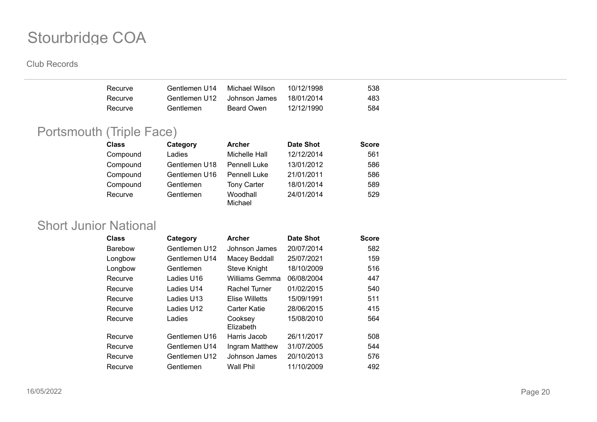#### **Club Records**

| Recurve | Gentlemen U14 | Michael Wilson. | 10/12/1998 | 538 |
|---------|---------------|-----------------|------------|-----|
| Recurve | Gentlemen U12 | Johnson James   | 18/01/2014 | 483 |
| Recurve | Gentlemen     | Beard Owen      | 12/12/1990 | 584 |

## Portsmouth (Triple Face)

| <b>Class</b> | Category      | <b>Archer</b>       | <b>Date Shot</b> | <b>Score</b> |
|--------------|---------------|---------------------|------------------|--------------|
| Compound     | Ladies        | Michelle Hall       | 12/12/2014       | 561          |
| Compound     | Gentlemen U18 | Pennell Luke        | 13/01/2012       | 586          |
| Compound     | Gentlemen U16 | Pennell Luke        | 21/01/2011       | 586          |
| Compound     | Gentlemen     | <b>Tony Carter</b>  | 18/01/2014       | 589          |
| Recurve      | Gentlemen     | Woodhall<br>Michael | 24/01/2014       | 529          |

### Short Junior National

| <b>Class</b>   | Category      | <b>Archer</b>        | <b>Date Shot</b> | <b>Score</b> |
|----------------|---------------|----------------------|------------------|--------------|
| <b>Barebow</b> | Gentlemen U12 | Johnson James        | 20/07/2014       | 582          |
| Longbow        | Gentlemen U14 | Macey Beddall        | 25/07/2021       | 159          |
| Longbow        | Gentlemen     | <b>Steve Knight</b>  | 18/10/2009       | 516          |
| Recurve        | Ladies U16    | Williams Gemma       | 06/08/2004       | 447          |
| Recurve        | Ladies U14    | Rachel Turner        | 01/02/2015       | 540          |
| Recurve        | Ladies U13    | Elise Willetts       | 15/09/1991       | 511          |
| Recurve        | Ladies U12    | Carter Katie         | 28/06/2015       | 415          |
| Recurve        | Ladies        | Cooksey<br>Elizabeth | 15/08/2010       | 564          |
| Recurve        | Gentlemen U16 | Harris Jacob         | 26/11/2017       | 508          |
| Recurve        | Gentlemen U14 | Ingram Matthew       | 31/07/2005       | 544          |
| Recurve        | Gentlemen U12 | Johnson James        | 20/10/2013       | 576          |
| Recurve        | Gentlemen     | Wall Phil            | 11/10/2009       | 492          |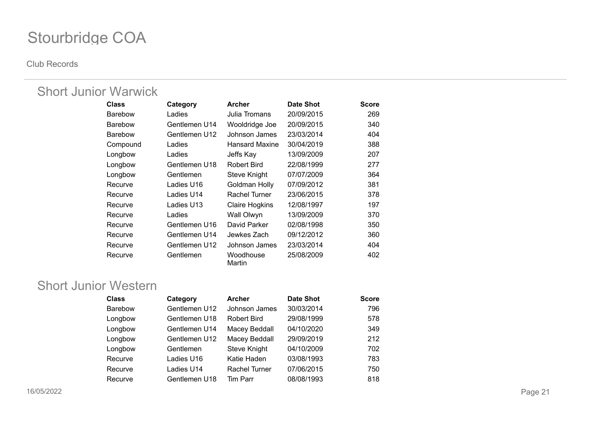**Club Records**

### Short Junior Warwick

| <b>Class</b>   | Category      | <b>Archer</b>         | Date Shot  | <b>Score</b> |
|----------------|---------------|-----------------------|------------|--------------|
| <b>Barebow</b> | Ladies        | Julia Tromans         | 20/09/2015 | 269          |
| <b>Barebow</b> | Gentlemen U14 | Wooldridge Joe        | 20/09/2015 | 340          |
| <b>Barebow</b> | Gentlemen U12 | Johnson James         | 23/03/2014 | 404          |
| Compound       | Ladies        | <b>Hansard Maxine</b> | 30/04/2019 | 388          |
| Longbow        | Ladies        | Jeffs Kay             | 13/09/2009 | 207          |
| Longbow        | Gentlemen U18 | <b>Robert Bird</b>    | 22/08/1999 | 277          |
| Longbow        | Gentlemen     | Steve Knight          | 07/07/2009 | 364          |
| Recurve        | Ladies U16    | Goldman Holly         | 07/09/2012 | 381          |
| Recurve        | Ladies U14    | Rachel Turner         | 23/06/2015 | 378          |
| Recurve        | Ladies U13    | <b>Claire Hogkins</b> | 12/08/1997 | 197          |
| Recurve        | Ladies        | Wall Olwyn            | 13/09/2009 | 370          |
| Recurve        | Gentlemen U16 | David Parker          | 02/08/1998 | 350          |
| Recurve        | Gentlemen U14 | Jewkes Zach           | 09/12/2012 | 360          |
| Recurve        | Gentlemen U12 | Johnson James         | 23/03/2014 | 404          |
| Recurve        | Gentlemen     | Woodhouse<br>Martin   | 25/08/2009 | 402          |

### Short Junior Western

| <b>Class</b>   | Category      | <b>Archer</b>        | <b>Date Shot</b> | <b>Score</b> |
|----------------|---------------|----------------------|------------------|--------------|
| <b>Barebow</b> | Gentlemen U12 | Johnson James        | 30/03/2014       | 796          |
| Longbow        | Gentlemen U18 | <b>Robert Bird</b>   | 29/08/1999       | 578          |
| Longbow        | Gentlemen U14 | Macey Beddall        | 04/10/2020       | 349          |
| Longbow        | Gentlemen U12 | Macey Beddall        | 29/09/2019       | 212          |
| Longbow        | Gentlemen     | Steve Knight         | 04/10/2009       | 702          |
| Recurve        | Ladies U16    | Katie Haden          | 03/08/1993       | 783          |
| Recurve        | Ladies U14    | <b>Rachel Turner</b> | 07/06/2015       | 750          |
| Recurve        | Gentlemen U18 | Tim Parr             | 08/08/1993       | 818          |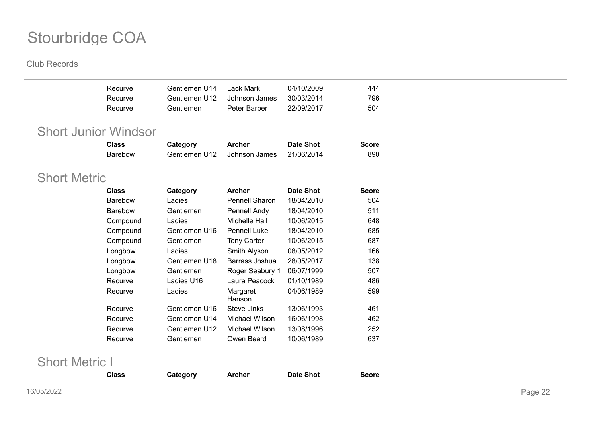#### **Club Records**

|                             | Recurve<br>Recurve | Gentlemen U14<br>Gentlemen U12 | <b>Lack Mark</b><br>Johnson James | 04/10/2009<br>30/03/2014 | 444<br>796   |
|-----------------------------|--------------------|--------------------------------|-----------------------------------|--------------------------|--------------|
|                             | Recurve            | Gentlemen                      | Peter Barber                      | 22/09/2017               | 504          |
| <b>Short Junior Windsor</b> |                    |                                |                                   |                          |              |
|                             | <b>Class</b>       | Category                       | <b>Archer</b>                     | <b>Date Shot</b>         | <b>Score</b> |
|                             | <b>Barebow</b>     | Gentlemen U12                  | Johnson James                     | 21/06/2014               | 890          |
|                             |                    |                                |                                   |                          |              |
| <b>Short Metric</b>         |                    |                                |                                   |                          |              |
|                             | <b>Class</b>       | Category                       | <b>Archer</b>                     | <b>Date Shot</b>         | <b>Score</b> |
|                             | <b>Barebow</b>     | Ladies                         | Pennell Sharon                    | 18/04/2010               | 504          |
|                             | <b>Barebow</b>     | Gentlemen                      | Pennell Andy                      | 18/04/2010               | 511          |
|                             | Compound           | Ladies                         | Michelle Hall                     | 10/06/2015               | 648          |
|                             | Compound           | Gentlemen U16                  | <b>Pennell Luke</b>               | 18/04/2010               | 685          |
|                             | Compound           | Gentlemen                      | <b>Tony Carter</b>                | 10/06/2015               | 687          |
|                             | Longbow            | Ladies                         | Smith Alyson                      | 08/05/2012               | 166          |
|                             | Longbow            | Gentlemen U18                  | Barrass Joshua                    | 28/05/2017               | 138          |
|                             | Longbow            | Gentlemen                      | Roger Seabury 1                   | 06/07/1999               | 507          |
|                             | Recurve            | Ladies U16                     | Laura Peacock                     | 01/10/1989               | 486          |
|                             | Recurve            | Ladies                         | Margaret<br>Hanson                | 04/06/1989               | 599          |
|                             | Recurve            | Gentlemen U16                  | <b>Steve Jinks</b>                | 13/06/1993               | 461          |
|                             | Recurve            | Gentlemen U14                  | Michael Wilson                    | 16/06/1998               | 462          |
|                             | Recurve            | Gentlemen U12                  | Michael Wilson                    | 13/08/1996               | 252          |
|                             | Recurve            | Gentlemen                      | Owen Beard                        | 10/06/1989               | 637          |
|                             |                    |                                |                                   |                          |              |

**Class Category Archer Date Shot Score**

## Short Metric I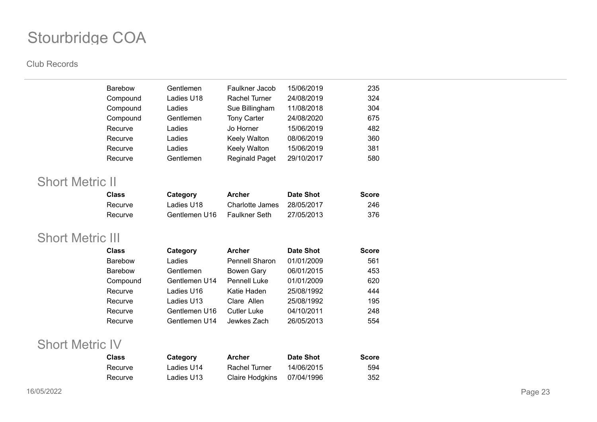#### **Club Records**

| <b>Barebow</b> |          | Gentlemen  | Faulkner Jacob        | 15/06/2019 | 235 |
|----------------|----------|------------|-----------------------|------------|-----|
|                | Compound | Ladies U18 | Rachel Turner         | 24/08/2019 | 324 |
|                | Compound | Ladies     | Sue Billingham        | 11/08/2018 | 304 |
|                | Compound | Gentlemen  | <b>Tony Carter</b>    | 24/08/2020 | 675 |
| Recurve        |          | Ladies     | Jo Horner             | 15/06/2019 | 482 |
| Recurve        |          | Ladies     | Keely Walton          | 08/06/2019 | 360 |
| Recurve        |          | Ladies     | Keely Walton          | 15/06/2019 | 381 |
| Recurve        |          | Gentlemen  | <b>Reginald Paget</b> | 29/10/2017 | 580 |
|                |          |            |                       |            |     |

### Short Metric II

| Class   | Category      | Archer          | Date Shot  | <b>Score</b> |
|---------|---------------|-----------------|------------|--------------|
| Recurve | Ladies U18    | Charlotte James | 28/05/2017 | 246          |
| Recurve | Gentlemen U16 | Faulkner Seth   | 27/05/2013 | 376          |

### Short Metric III

| <b>Class</b> | Category      | <b>Archer</b>         | <b>Date Shot</b> | <b>Score</b> |
|--------------|---------------|-----------------------|------------------|--------------|
| Barebow      | Ladies        | <b>Pennell Sharon</b> | 01/01/2009       | 561          |
| Barebow      | Gentlemen     | <b>Bowen Gary</b>     | 06/01/2015       | 453          |
| Compound     | Gentlemen U14 | <b>Pennell Luke</b>   | 01/01/2009       | 620          |
| Recurve      | Ladies U16    | Katie Haden           | 25/08/1992       | 444          |
| Recurve      | Ladies U13    | Clare Allen           | 25/08/1992       | 195          |
| Recurve      | Gentlemen U16 | <b>Cutler Luke</b>    | 04/10/2011       | 248          |
| Recurve      | Gentlemen U14 | Jewkes Zach           | 26/05/2013       | 554          |

### Short Metric IV

| Class   | Category   | Archer          | <b>Date Shot</b> | <b>Score</b> |
|---------|------------|-----------------|------------------|--------------|
| Recurve | Ladies U14 | Rachel Turner   | 14/06/2015       | 594          |
| Recurve | Ladies U13 | Claire Hodgkins | 07/04/1996       | 352          |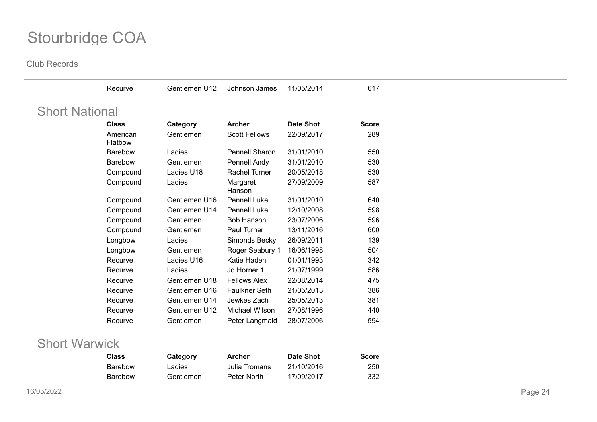| <b>Short National</b> |                     |               |                      |                  |              |
|-----------------------|---------------------|---------------|----------------------|------------------|--------------|
|                       | <b>Class</b>        | Category      | <b>Archer</b>        | <b>Date Shot</b> | <b>Score</b> |
|                       | American<br>Flatbow | Gentlemen     | <b>Scott Fellows</b> | 22/09/2017       | 289          |
|                       | Barebow             | Ladies        | Pennell Sharon       | 31/01/2010       | 550          |
|                       | Barebow             | Gentlemen     | Pennell Andy         | 31/01/2010       | 530          |
|                       | Compound            | Ladies U18    | Rachel Turner        | 20/05/2018       | 530          |
|                       | Compound            | Ladies        | Margaret<br>Hanson   | 27/09/2009       | 587          |
|                       | Compound            | Gentlemen U16 | Pennell Luke         | 31/01/2010       | 640          |
|                       | Compound            | Gentlemen U14 | Pennell Luke         | 12/10/2008       | 598          |
|                       | Compound            | Gentlemen     | <b>Bob Hanson</b>    | 23/07/2006       | 596          |
|                       | Compound            | Gentlemen     | Paul Turner          | 13/11/2016       | 600          |
|                       | Longbow             | Ladies        | Simonds Becky        | 26/09/2011       | 139          |
|                       | Longbow             | Gentlemen     | Roger Seabury 1      | 16/06/1998       | 504          |
|                       | Recurve             | Ladies U16    | Katie Haden          | 01/01/1993       | 342          |
|                       | Recurve             | Ladies        | Jo Horner 1          | 21/07/1999       | 586          |
|                       | Recurve             | Gentlemen U18 | <b>Fellows Alex</b>  | 22/08/2014       | 475          |
|                       | Recurve             | Gentlemen U16 | <b>Faulkner Seth</b> | 21/05/2013       | 386          |
|                       | Recurve             | Gentlemen U14 | Jewkes Zach          | 25/05/2013       | 381          |
|                       | Recurve             | Gentlemen U12 | Michael Wilson       | 27/08/1996       | 440          |
|                       | Recurve             | Gentlemen     | Peter Langmaid       | 28/07/2006       | 594          |

| <b>Class</b> | Category  | <b>Archer</b> | Date Shot  | <b>Score</b> |
|--------------|-----------|---------------|------------|--------------|
| Barebow      | Ladies    | Julia Tromans | 21/10/2016 | 250          |
| Barebow      | Gentlemen | Peter North   | 17/09/2017 | 332          |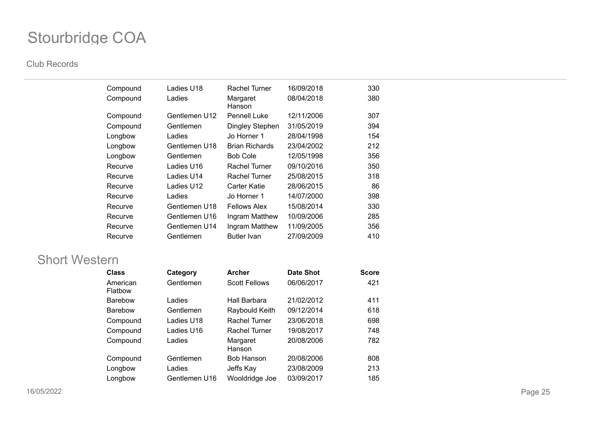#### **Club Records**

| Compound | Ladies U18    | Rachel Turner         | 16/09/2018 | 330 |
|----------|---------------|-----------------------|------------|-----|
| Compound | Ladies        | Margaret<br>Hanson    | 08/04/2018 | 380 |
| Compound | Gentlemen U12 | <b>Pennell Luke</b>   | 12/11/2006 | 307 |
| Compound | Gentlemen     | Dingley Stephen       | 31/05/2019 | 394 |
| Longbow  | Ladies        | Jo Horner 1           | 28/04/1998 | 154 |
| Longbow  | Gentlemen U18 | <b>Brian Richards</b> | 23/04/2002 | 212 |
| Longbow  | Gentlemen     | Bob Cole              | 12/05/1998 | 356 |
| Recurve  | Ladies U16    | Rachel Turner         | 09/10/2016 | 350 |
| Recurve  | Ladies U14    | Rachel Turner         | 25/08/2015 | 318 |
| Recurve  | Ladies U12    | Carter Katie          | 28/06/2015 | 86  |
| Recurve  | Ladies        | Jo Horner 1           | 14/07/2000 | 398 |
| Recurve  | Gentlemen U18 | <b>Fellows Alex</b>   | 15/08/2014 | 330 |
| Recurve  | Gentlemen U16 | Ingram Matthew        | 10/09/2006 | 285 |
| Recurve  | Gentlemen U14 | Ingram Matthew        | 11/09/2005 | 356 |
| Recurve  | Gentlemen     | <b>Butler Ivan</b>    | 27/09/2009 | 410 |

### Short Western

| <b>Class</b>        | Category      | <b>Archer</b>        | <b>Date Shot</b> | <b>Score</b> |
|---------------------|---------------|----------------------|------------------|--------------|
| American<br>Flatbow | Gentlemen     | <b>Scott Fellows</b> | 06/06/2017       | 421          |
| <b>Barebow</b>      | Ladies        | Hall Barbara         | 21/02/2012       | 411          |
| <b>Barebow</b>      | Gentlemen     | Raybould Keith       | 09/12/2014       | 618          |
| Compound            | Ladies U18    | <b>Rachel Turner</b> | 23/06/2018       | 698          |
| Compound            | Ladies U16    | <b>Rachel Turner</b> | 19/08/2017       | 748          |
| Compound            | Ladies        | Margaret<br>Hanson   | 20/08/2006       | 782          |
| Compound            | Gentlemen     | <b>Bob Hanson</b>    | 20/08/2006       | 808          |
| Longbow             | Ladies        | Jeffs Kay            | 23/08/2009       | 213          |
| Longbow             | Gentlemen U16 | Wooldridge Joe       | 03/09/2017       | 185          |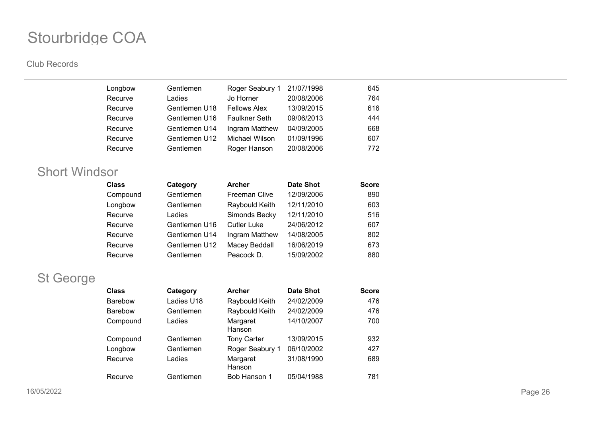#### **Club Records**

| Longbow | Gentlemen     | Roger Seabury 1     | 21/07/1998 | 645 |
|---------|---------------|---------------------|------------|-----|
| Recurve | Ladies        | Jo Horner           | 20/08/2006 | 764 |
| Recurve | Gentlemen U18 | <b>Fellows Alex</b> | 13/09/2015 | 616 |
| Recurve | Gentlemen U16 | Faulkner Seth       | 09/06/2013 | 444 |
| Recurve | Gentlemen U14 | Ingram Matthew      | 04/09/2005 | 668 |
| Recurve | Gentlemen U12 | Michael Wilson      | 01/09/1996 | 607 |
| Recurve | Gentlemen     | Roger Hanson        | 20/08/2006 | 772 |
|         |               |                     |            |     |

## Short Windsor

| <b>Class</b> | Category      | <b>Archer</b>        | <b>Date Shot</b> | <b>Score</b> |
|--------------|---------------|----------------------|------------------|--------------|
| Compound     | Gentlemen     | <b>Freeman Clive</b> | 12/09/2006       | 890          |
| Longbow      | Gentlemen     | Raybould Keith       | 12/11/2010       | 603          |
| Recurve      | Ladies        | Simonds Becky        | 12/11/2010       | 516          |
| Recurve      | Gentlemen U16 | <b>Cutler Luke</b>   | 24/06/2012       | 607          |
| Recurve      | Gentlemen U14 | Ingram Matthew       | 14/08/2005       | 802          |
| Recurve      | Gentlemen U12 | Macey Beddall        | 16/06/2019       | 673          |
| Recurve      | Gentlemen     | Peacock D.           | 15/09/2002       | 880          |

## St George

| <b>Class</b>   | Category   | <b>Archer</b>      | <b>Date Shot</b> | <b>Score</b> |
|----------------|------------|--------------------|------------------|--------------|
| <b>Barebow</b> | Ladies U18 | Raybould Keith     | 24/02/2009       | 476          |
| <b>Barebow</b> | Gentlemen  | Raybould Keith     | 24/02/2009       | 476          |
| Compound       | Ladies     | Margaret<br>Hanson | 14/10/2007       | 700          |
| Compound       | Gentlemen  | <b>Tony Carter</b> | 13/09/2015       | 932          |
| Longbow        | Gentlemen  | Roger Seabury 1    | 06/10/2002       | 427          |
| Recurve        | Ladies     | Margaret<br>Hanson | 31/08/1990       | 689          |
| Recurve        | Gentlemen  | Bob Hanson 1       | 05/04/1988       | 781          |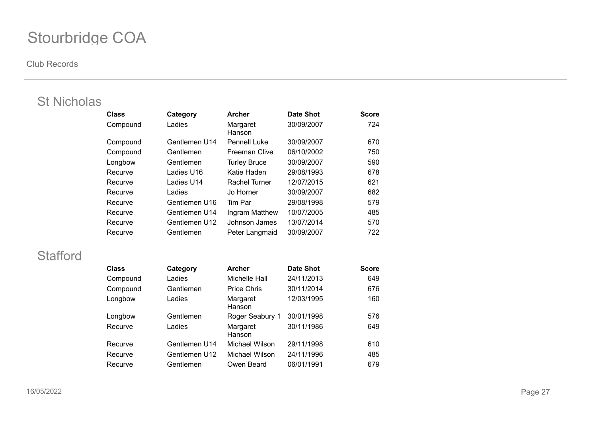#### **Club Records**

## St Nicholas

| <b>Class</b> | Category      | <b>Archer</b>        | <b>Date Shot</b> | <b>Score</b> |
|--------------|---------------|----------------------|------------------|--------------|
| Compound     | Ladies        | Margaret<br>Hanson   | 30/09/2007       | 724          |
| Compound     | Gentlemen U14 | <b>Pennell Luke</b>  | 30/09/2007       | 670          |
| Compound     | Gentlemen     | <b>Freeman Clive</b> | 06/10/2002       | 750          |
| Longbow      | Gentlemen     | <b>Turley Bruce</b>  | 30/09/2007       | 590          |
| Recurve      | Ladies U16    | Katie Haden          | 29/08/1993       | 678          |
| Recurve      | Ladies U14    | <b>Rachel Turner</b> | 12/07/2015       | 621          |
| Recurve      | Ladies        | Jo Horner            | 30/09/2007       | 682          |
| Recurve      | Gentlemen U16 | Tim Par              | 29/08/1998       | 579          |
| Recurve      | Gentlemen U14 | Ingram Matthew       | 10/07/2005       | 485          |
| Recurve      | Gentlemen U12 | Johnson James        | 13/07/2014       | 570          |
| Recurve      | Gentlemen     | Peter Langmaid       | 30/09/2007       | 722          |

## **Stafford**

| <b>Class</b> | Category      | <b>Archer</b>      | <b>Date Shot</b> | <b>Score</b> |
|--------------|---------------|--------------------|------------------|--------------|
| Compound     | Ladies        | Michelle Hall      | 24/11/2013       | 649          |
| Compound     | Gentlemen     | <b>Price Chris</b> | 30/11/2014       | 676          |
| Longbow      | Ladies        | Margaret<br>Hanson | 12/03/1995       | 160          |
| Longbow      | Gentlemen     | Roger Seabury 1    | 30/01/1998       | 576          |
| Recurve      | Ladies        | Margaret<br>Hanson | 30/11/1986       | 649          |
| Recurve      | Gentlemen U14 | Michael Wilson     | 29/11/1998       | 610          |
| Recurve      | Gentlemen U12 | Michael Wilson     | 24/11/1996       | 485          |
| Recurve      | Gentlemen     | Owen Beard         | 06/01/1991       | 679          |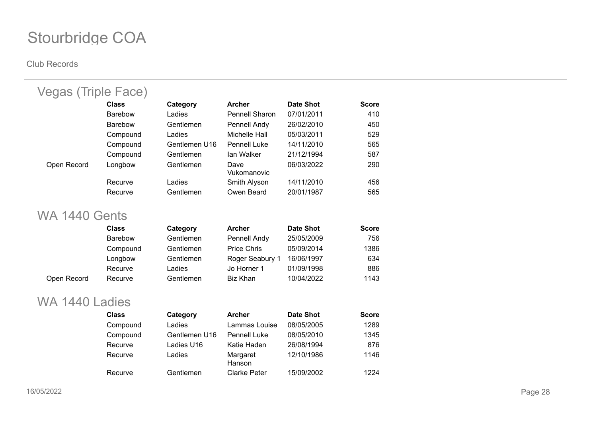#### **Club Records**

| Vegas (Triple Face)  |                |               |                      |                  |              |
|----------------------|----------------|---------------|----------------------|------------------|--------------|
|                      | <b>Class</b>   | Category      | <b>Archer</b>        | <b>Date Shot</b> | <b>Score</b> |
|                      | Barebow        | Ladies        | Pennell Sharon       | 07/01/2011       | 410          |
|                      | <b>Barebow</b> | Gentlemen     | Pennell Andy         | 26/02/2010       | 450          |
|                      | Compound       | Ladies        | <b>Michelle Hall</b> | 05/03/2011       | 529          |
|                      | Compound       | Gentlemen U16 | <b>Pennell Luke</b>  | 14/11/2010       | 565          |
|                      | Compound       | Gentlemen     | lan Walker           | 21/12/1994       | 587          |
| Open Record          | Longbow        | Gentlemen     | Dave<br>Vukomanovic  | 06/03/2022       | 290          |
|                      | Recurve        | Ladies        | Smith Alyson         | 14/11/2010       | 456          |
|                      | Recurve        | Gentlemen     | Owen Beard           | 20/01/1987       | 565          |
| <b>WA 1440 Gents</b> |                |               |                      |                  |              |
|                      | <b>Class</b>   | Category      | <b>Archer</b>        | <b>Date Shot</b> | <b>Score</b> |
|                      | <b>Barebow</b> | Gentlemen     | Pennell Andy         | 25/05/2009       | 756          |
|                      | Compound       | Gentlemen     | <b>Price Chris</b>   | 05/09/2014       | 1386         |
|                      | Longbow        | Gentlemen     | Roger Seabury 1      | 16/06/1997       | 634          |
|                      | Recurve        | Ladies        | Jo Horner 1          | 01/09/1998       | 886          |
| Open Record          | Recurve        | Gentlemen     | <b>Biz Khan</b>      | 10/04/2022       | 1143         |
| WA 1440 Ladies       |                |               |                      |                  |              |
|                      | <b>Class</b>   | Category      | <b>Archer</b>        | <b>Date Shot</b> | <b>Score</b> |
|                      | Compound       | Ladies        | Lammas Louise        | 08/05/2005       | 1289         |
|                      | Compound       | Gentlemen U16 | <b>Pennell Luke</b>  | 08/05/2010       | 1345         |
|                      | Recurve        | Ladies U16    | Katie Haden          | 26/08/1994       | 876          |
|                      | Recurve        | Ladies        | Margaret             | 12/10/1986       | 1146         |

Hanson

Recurve Gentlemen Clarke Peter 15/09/2002 1224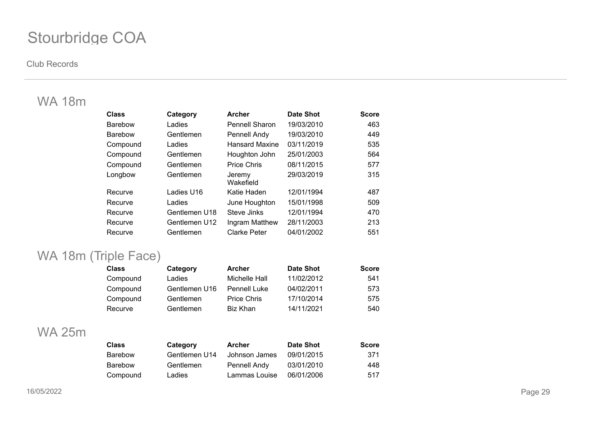#### **Club Records**

## WA 18m

| <b>Class</b>   | Category      | <b>Archer</b>         | <b>Date Shot</b> | <b>Score</b> |
|----------------|---------------|-----------------------|------------------|--------------|
| <b>Barebow</b> | Ladies        | <b>Pennell Sharon</b> | 19/03/2010       | 463          |
| <b>Barebow</b> | Gentlemen     | Pennell Andy          | 19/03/2010       | 449          |
| Compound       | Ladies        | <b>Hansard Maxine</b> | 03/11/2019       | 535          |
| Compound       | Gentlemen     | Houghton John         | 25/01/2003       | 564          |
| Compound       | Gentlemen     | <b>Price Chris</b>    | 08/11/2015       | 577          |
| Longbow        | Gentlemen     | Jeremy<br>Wakefield   | 29/03/2019       | 315          |
| Recurve        | Ladies U16    | Katie Haden           | 12/01/1994       | 487          |
| Recurve        | Ladies        | June Houghton         | 15/01/1998       | 509          |
| Recurve        | Gentlemen U18 | Steve Jinks           | 12/01/1994       | 470          |
| Recurve        | Gentlemen U12 | Ingram Matthew        | 28/11/2003       | 213          |
| Recurve        | Gentlemen     | <b>Clarke Peter</b>   | 04/01/2002       | 551          |

## WA 18m (Triple Face)

| <b>Class</b> | Category      | <b>Archer</b>       | <b>Date Shot</b> | <b>Score</b> |
|--------------|---------------|---------------------|------------------|--------------|
| Compound     | Ladies        | Michelle Hall       | 11/02/2012       | 541          |
| Compound     | Gentlemen U16 | <b>Pennell Luke</b> | 04/02/2011       | 573          |
| Compound     | Gentlemen     | <b>Price Chris</b>  | 17/10/2014       | 575          |
| Recurve      | Gentlemen     | Biz Khan            | 14/11/2021       | 540          |

### WA 25m

| <b>Class</b>   | Category      | <b>Archer</b> | Date Shot  | <b>Score</b> |
|----------------|---------------|---------------|------------|--------------|
| <b>Barebow</b> | Gentlemen U14 | Johnson James | 09/01/2015 | 371          |
| <b>Barebow</b> | Gentlemen     | Pennell Andy  | 03/01/2010 | 448          |
| Compound       | Ladies        | Lammas Louise | 06/01/2006 | 517          |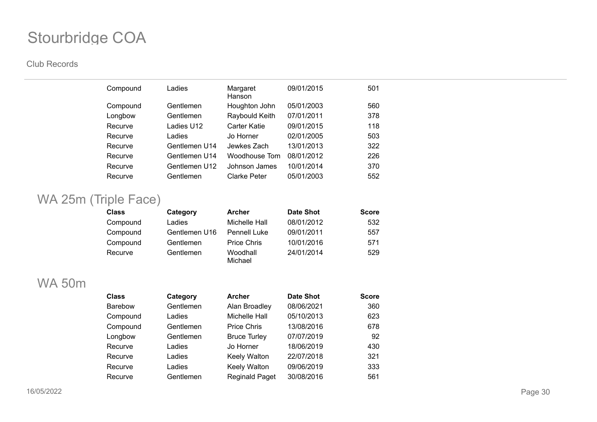#### **Club Records**

| Compound | Ladies        | Margaret<br>Hanson | 09/01/2015 | 501 |
|----------|---------------|--------------------|------------|-----|
| Compound | Gentlemen     | Houghton John      | 05/01/2003 | 560 |
| Longbow  | Gentlemen     | Raybould Keith     | 07/01/2011 | 378 |
| Recurve  | Ladies U12    | Carter Katie       | 09/01/2015 | 118 |
| Recurve  | Ladies        | Jo Horner          | 02/01/2005 | 503 |
| Recurve  | Gentlemen U14 | Jewkes Zach        | 13/01/2013 | 322 |
| Recurve  | Gentlemen U14 | Woodhouse Tom      | 08/01/2012 | 226 |
| Recurve  | Gentlemen U12 | Johnson James      | 10/01/2014 | 370 |
| Recurve  | Gentlemen     | Clarke Peter       | 05/01/2003 | 552 |

## WA 25m (Triple Face)

| <b>Class</b> | Category      | <b>Archer</b>       | <b>Date Shot</b> | <b>Score</b> |
|--------------|---------------|---------------------|------------------|--------------|
| Compound     | Ladies        | Michelle Hall       | 08/01/2012       | 532          |
| Compound     | Gentlemen U16 | Pennell Luke        | 09/01/2011       | 557          |
| Compound     | Gentlemen     | <b>Price Chris</b>  | 10/01/2016       | 571          |
| Recurve      | Gentlemen     | Woodhall<br>Michael | 24/01/2014       | 529          |

### WA 50m

| <b>Class</b>   | Category  | <b>Archer</b>         | <b>Date Shot</b> | <b>Score</b> |
|----------------|-----------|-----------------------|------------------|--------------|
| <b>Barebow</b> | Gentlemen | Alan Broadley         | 08/06/2021       | 360          |
| Compound       | Ladies    | Michelle Hall         | 05/10/2013       | 623          |
| Compound       | Gentlemen | <b>Price Chris</b>    | 13/08/2016       | 678          |
| Longbow        | Gentlemen | <b>Bruce Turley</b>   | 07/07/2019       | 92           |
| Recurve        | Ladies    | Jo Horner             | 18/06/2019       | 430          |
| Recurve        | Ladies    | <b>Keely Walton</b>   | 22/07/2018       | 321          |
| Recurve        | Ladies    | Keely Walton          | 09/06/2019       | 333          |
| Recurve        | Gentlemen | <b>Reginald Paget</b> | 30/08/2016       | 561          |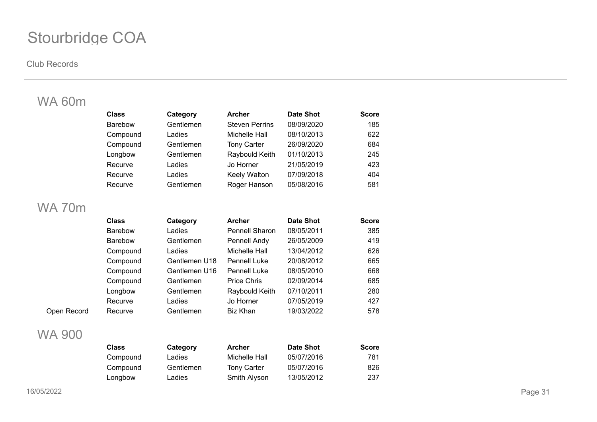#### **Club Records**

## WA 60m

| <b>Class</b>   | Category  | <b>Archer</b>         | <b>Date Shot</b> | <b>Score</b> |
|----------------|-----------|-----------------------|------------------|--------------|
| <b>Barebow</b> | Gentlemen | <b>Steven Perrins</b> | 08/09/2020       | 185          |
| Compound       | Ladies    | Michelle Hall         | 08/10/2013       | 622          |
| Compound       | Gentlemen | <b>Tony Carter</b>    | 26/09/2020       | 684          |
| Longbow        | Gentlemen | Raybould Keith        | 01/10/2013       | 245          |
| Recurve        | Ladies    | Jo Horner             | 21/05/2019       | 423          |
| Recurve        | Ladies    | Keely Walton          | 07/09/2018       | 404          |
| Recurve        | Gentlemen | Roger Hanson          | 05/08/2016       | 581          |

### WA 70m

| <b>Class</b>   | Category      | <b>Archer</b>         | <b>Date Shot</b> | <b>Score</b> |
|----------------|---------------|-----------------------|------------------|--------------|
| <b>Barebow</b> | Ladies        | <b>Pennell Sharon</b> | 08/05/2011       | 385          |
| <b>Barebow</b> | Gentlemen     | Pennell Andy          | 26/05/2009       | 419          |
| Compound       | Ladies        | Michelle Hall         | 13/04/2012       | 626          |
| Compound       | Gentlemen U18 | <b>Pennell Luke</b>   | 20/08/2012       | 665          |
| Compound       | Gentlemen U16 | <b>Pennell Luke</b>   | 08/05/2010       | 668          |
| Compound       | Gentlemen     | <b>Price Chris</b>    | 02/09/2014       | 685          |
| Longbow        | Gentlemen     | Raybould Keith        | 07/10/2011       | 280          |
| Recurve        | Ladies        | Jo Horner             | 07/05/2019       | 427          |
| Recurve        | Gentlemen     | Biz Khan              | 19/03/2022       | 578          |

### WA 900

Open Record

| Class    | Category  | <b>Archer</b>      | <b>Date Shot</b> | <b>Score</b> |
|----------|-----------|--------------------|------------------|--------------|
| Compound | Ladies    | Michelle Hall      | 05/07/2016       | 781          |
| Compound | Gentlemen | <b>Tony Carter</b> | 05/07/2016       | 826          |
| Longbow  | Ladies    | Smith Alyson       | 13/05/2012       | 237          |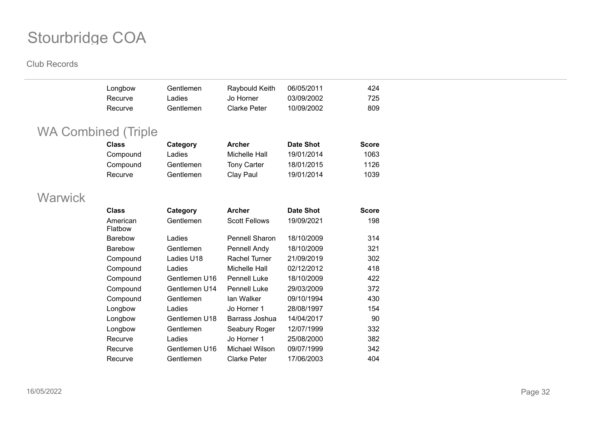|                | Longbow                    | Gentlemen     | Raybould Keith       | 06/05/2011       | 424          |
|----------------|----------------------------|---------------|----------------------|------------------|--------------|
|                | Recurve                    | Ladies        | Jo Horner            | 03/09/2002       | 725          |
|                | Recurve                    | Gentlemen     | <b>Clarke Peter</b>  | 10/09/2002       | 809          |
|                |                            |               |                      |                  |              |
|                | <b>WA Combined (Triple</b> |               |                      |                  |              |
|                | <b>Class</b>               | Category      | <b>Archer</b>        | <b>Date Shot</b> | <b>Score</b> |
|                | Compound                   | Ladies        | Michelle Hall        | 19/01/2014       | 1063         |
|                | Compound                   | Gentlemen     | <b>Tony Carter</b>   | 18/01/2015       | 1126         |
|                | Recurve                    | Gentlemen     | Clay Paul            | 19/01/2014       | 1039         |
|                |                            |               |                      |                  |              |
| <b>Warwick</b> |                            |               |                      |                  |              |
|                | <b>Class</b>               | Category      | <b>Archer</b>        | <b>Date Shot</b> | <b>Score</b> |
|                | American<br>Flatbow        | Gentlemen     | <b>Scott Fellows</b> | 19/09/2021       | 198          |
|                | Barebow                    | Ladies        | Pennell Sharon       | 18/10/2009       | 314          |
|                | <b>Barebow</b>             | Gentlemen     | Pennell Andy         | 18/10/2009       | 321          |
|                | Compound                   | Ladies U18    | Rachel Turner        | 21/09/2019       | 302          |
|                | Compound                   | Ladies        | Michelle Hall        | 02/12/2012       | 418          |
|                | Compound                   | Gentlemen U16 | <b>Pennell Luke</b>  | 18/10/2009       | 422          |
|                | Compound                   | Gentlemen U14 | <b>Pennell Luke</b>  | 29/03/2009       | 372          |
|                | Compound                   | Gentlemen     | lan Walker           | 09/10/1994       | 430          |
|                | Longbow                    | Ladies        | Jo Horner 1          | 28/08/1997       | 154          |
|                | Longbow                    | Gentlemen U18 | Barrass Joshua       | 14/04/2017       | 90           |
|                | Longbow                    | Gentlemen     | Seabury Roger        | 12/07/1999       | 332          |
|                | Recurve                    | Ladies        | Jo Horner 1          | 25/08/2000       | 382          |
|                | Recurve                    | Gentlemen U16 | Michael Wilson       | 09/07/1999       | 342          |
|                | Recurve                    | Gentlemen     | <b>Clarke Peter</b>  | 17/06/2003       | 404          |
|                |                            |               |                      |                  |              |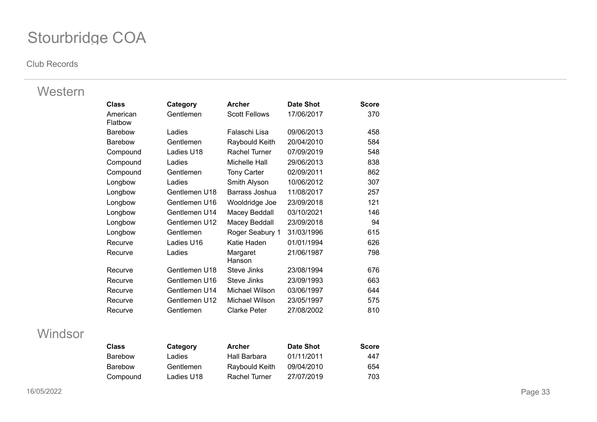#### **Club Records**

### Western

| <b>Class</b>        | Category      | <b>Archer</b>        | Date Shot  | <b>Score</b> |
|---------------------|---------------|----------------------|------------|--------------|
| American<br>Flatbow | Gentlemen     | <b>Scott Fellows</b> | 17/06/2017 | 370          |
| <b>Barebow</b>      | Ladies        | Falaschi Lisa        | 09/06/2013 | 458          |
| <b>Barebow</b>      | Gentlemen     | Raybould Keith       | 20/04/2010 | 584          |
| Compound            | Ladies U18    | <b>Rachel Turner</b> | 07/09/2019 | 548          |
| Compound            | Ladies        | Michelle Hall        | 29/06/2013 | 838          |
| Compound            | Gentlemen     | <b>Tony Carter</b>   | 02/09/2011 | 862          |
| Longbow             | Ladies        | Smith Alyson         | 10/06/2012 | 307          |
| Longbow             | Gentlemen U18 | Barrass Joshua       | 11/08/2017 | 257          |
| Longbow             | Gentlemen U16 | Wooldridge Joe       | 23/09/2018 | 121          |
| Longbow             | Gentlemen U14 | Macey Beddall        | 03/10/2021 | 146          |
| Longbow             | Gentlemen U12 | Macey Beddall        | 23/09/2018 | 94           |
| Longbow             | Gentlemen     | Roger Seabury 1      | 31/03/1996 | 615          |
| Recurve             | Ladies U16    | Katie Haden          | 01/01/1994 | 626          |
| Recurve             | Ladies        | Margaret<br>Hanson   | 21/06/1987 | 798          |
| Recurve             | Gentlemen U18 | Steve Jinks          | 23/08/1994 | 676          |
| Recurve             | Gentlemen U16 | Steve Jinks          | 23/09/1993 | 663          |
| Recurve             | Gentlemen U14 | Michael Wilson       | 03/06/1997 | 644          |
| Recurve             | Gentlemen U12 | Michael Wilson       | 23/05/1997 | 575          |
| Recurve             | Gentlemen     | <b>Clarke Peter</b>  | 27/08/2002 | 810          |

### Windsor

| <b>Class</b> | Category   | <b>Archer</b>  | <b>Date Shot</b> | <b>Score</b> |
|--------------|------------|----------------|------------------|--------------|
| Barebow      | Ladies     | Hall Barbara   | 01/11/2011       | 447          |
| Barebow      | Gentlemen  | Raybould Keith | 09/04/2010       | 654          |
| Compound     | Ladies U18 | Rachel Turner  | 27/07/2019       | 703          |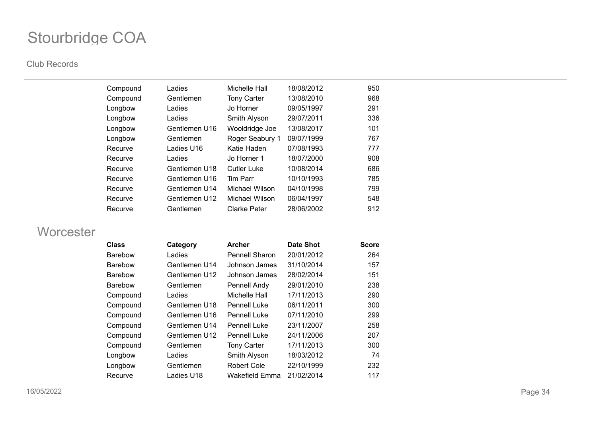#### **Club Records**

| Compound | Ladies        | Michelle Hall       | 18/08/2012 | 950 |
|----------|---------------|---------------------|------------|-----|
| Compound | Gentlemen     | <b>Tony Carter</b>  | 13/08/2010 | 968 |
| Longbow  | Ladies        | Jo Horner           | 09/05/1997 | 291 |
| Longbow  | Ladies        | Smith Alyson        | 29/07/2011 | 336 |
| Longbow  | Gentlemen U16 | Wooldridge Joe      | 13/08/2017 | 101 |
| Longbow  | Gentlemen     | Roger Seabury 1     | 09/07/1999 | 767 |
| Recurve  | Ladies U16    | Katie Haden         | 07/08/1993 | 777 |
| Recurve  | Ladies        | Jo Horner 1         | 18/07/2000 | 908 |
| Recurve  | Gentlemen U18 | <b>Cutler Luke</b>  | 10/08/2014 | 686 |
| Recurve  | Gentlemen U16 | Tim Parr            | 10/10/1993 | 785 |
| Recurve  | Gentlemen U14 | Michael Wilson      | 04/10/1998 | 799 |
| Recurve  | Gentlemen U12 | Michael Wilson      | 06/04/1997 | 548 |
| Recurve  | Gentlemen     | <b>Clarke Peter</b> | 28/06/2002 | 912 |
|          |               |                     |            |     |

### **Worcester**

| <b>Class</b>   | Category      | <b>Archer</b>         | <b>Date Shot</b> | <b>Score</b> |
|----------------|---------------|-----------------------|------------------|--------------|
| <b>Barebow</b> | Ladies        | <b>Pennell Sharon</b> | 20/01/2012       | 264          |
| <b>Barebow</b> | Gentlemen U14 | Johnson James         | 31/10/2014       | 157          |
| <b>Barebow</b> | Gentlemen U12 | Johnson James         | 28/02/2014       | 151          |
| <b>Barebow</b> | Gentlemen     | Pennell Andy          | 29/01/2010       | 238          |
| Compound       | Ladies        | Michelle Hall         | 17/11/2013       | 290          |
| Compound       | Gentlemen U18 | <b>Pennell Luke</b>   | 06/11/2011       | 300          |
| Compound       | Gentlemen U16 | <b>Pennell Luke</b>   | 07/11/2010       | 299          |
| Compound       | Gentlemen U14 | <b>Pennell Luke</b>   | 23/11/2007       | 258          |
| Compound       | Gentlemen U12 | <b>Pennell Luke</b>   | 24/11/2006       | 207          |
| Compound       | Gentlemen     | <b>Tony Carter</b>    | 17/11/2013       | 300          |
| Longbow        | Ladies        | Smith Alyson          | 18/03/2012       | 74           |
| Longbow        | Gentlemen     | <b>Robert Cole</b>    | 22/10/1999       | 232          |
| Recurve        | Ladies U18    | Wakefield Emma        | 21/02/2014       | 117          |